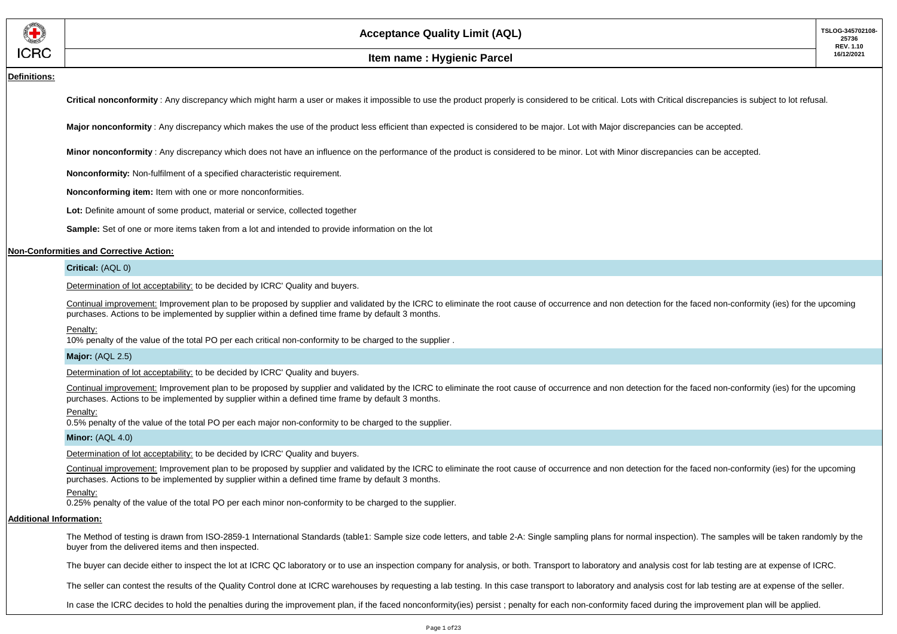

### **Definitions:**

Critical nonconformity: Any discrepancy which might harm a user or makes it impossible to use the product properly is considered to be critical. Lots with Critical discrepancies is subject to lot refusal.

**Major nonconformity** : Any discrepancy which makes the use of the product less efficient than expected is considered to be major. Lot with Major discrepancies can be accepted.

**Minor nonconformity** : Any discrepancy which does not have an influence on the performance of the product is considered to be minor. Lot with Minor discrepancies can be accepted.

**Nonconformity:** Non-fulfilment of a specified characteristic requirement.

**Nonconforming item:** Item with one or more nonconformities.

**Lot:** Definite amount of some product, material or service, collected together

**Sample:** Set of one or more items taken from a lot and intended to provide information on the lot

### **Non-Conformities and Corrective Action:**

### **Critical:** (AQL 0)

Determination of lot acceptability: to be decided by ICRC' Quality and buyers.

Continual improvement: Improvement plan to be proposed by supplier and validated by the ICRC to eliminate the root cause of occurrence and non detection for the faced non-conformity (ies) for the upcoming purchases. Actions to be implemented by supplier within a defined time frame by default 3 months.

#### Penalty:

10% penalty of the value of the total PO per each critical non-conformity to be charged to the supplier .

### **Major:** (AQL 2.5)

Determination of lot acceptability: to be decided by ICRC' Quality and buyers.

Continual improvement: Improvement plan to be proposed by supplier and validated by the ICRC to eliminate the root cause of occurrence and non detection for the faced non-conformity (ies) for the upcoming purchases. Actions to be implemented by supplier within a defined time frame by default 3 months.

#### Penalty:

0.5% penalty of the value of the total PO per each major non-conformity to be charged to the supplier.

### **Minor:** (AQL 4.0)

Determination of lot acceptability: to be decided by ICRC' Quality and buyers.

Continual improvement: Improvement plan to be proposed by supplier and validated by the ICRC to eliminate the root cause of occurrence and non detection for the faced non-conformity (ies) for the upcoming purchases. Actions to be implemented by supplier within a defined time frame by default 3 months.

#### Penalty:

0.25% penalty of the value of the total PO per each minor non-conformity to be charged to the supplier.

### **Additional Information:**

The Method of testing is drawn from ISO-2859-1 International Standards (table1: Sample size code letters, and table 2-A: Single sampling plans for normal inspection). The samples will be taken randomly by the buyer from the delivered items and then inspected.

The buyer can decide either to inspect the lot at ICRC QC laboratory or to use an inspection company for analysis, or both. Transport to laboratory and analysis cost for lab testing are at expense of ICRC.

The seller can contest the results of the Quality Control done at ICRC warehouses by requesting a lab testing. In this case transport to laboratory and analysis cost for lab testing are at expense of the seller.

In case the ICRC decides to hold the penalties during the improvement plan, if the faced nonconformity(ies) persist ; penalty for each non-conformity faced during the improvement plan will be applied.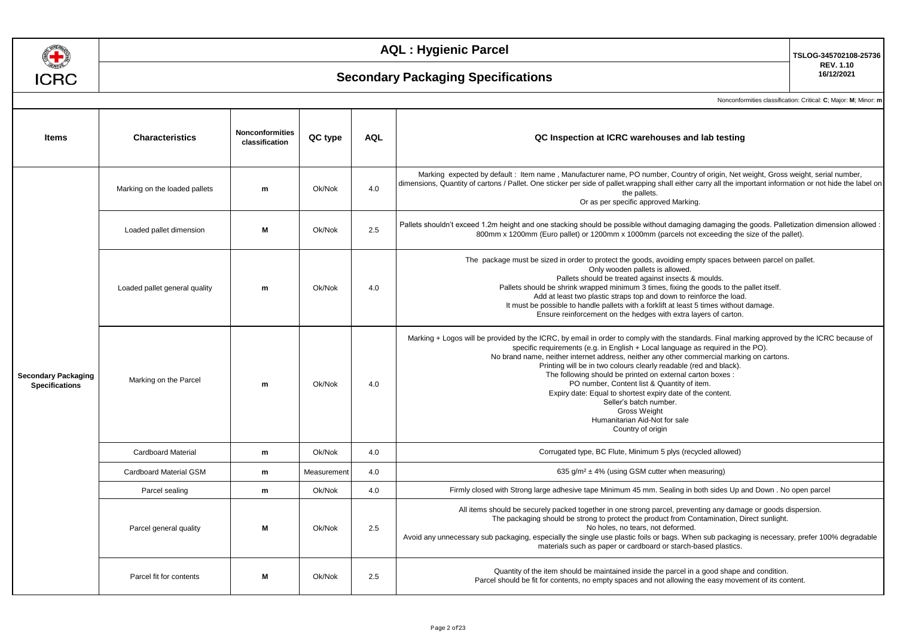

# **Secondary Packaging Specifications**

**TSLOG-345702108-25736 REV. 1.10 16/12/2021**

| <b>Items</b>                                        | <b>Characteristics</b>        | Nonconformities<br>classification | QC type     | <b>AQL</b> | QC Inspection at ICRC warehouses and lab testing                                                                                                                                                                                                                                                                                                                                                                                                                                                                                                                                                                                                                            |  |
|-----------------------------------------------------|-------------------------------|-----------------------------------|-------------|------------|-----------------------------------------------------------------------------------------------------------------------------------------------------------------------------------------------------------------------------------------------------------------------------------------------------------------------------------------------------------------------------------------------------------------------------------------------------------------------------------------------------------------------------------------------------------------------------------------------------------------------------------------------------------------------------|--|
| <b>Secondary Packaging</b><br><b>Specifications</b> | Marking on the loaded pallets | m                                 | Ok/Nok      | 4.0        | Marking expected by default: Item name, Manufacturer name, PO number, Country of origin, Net weight, Gross weight, serial number,<br>dimensions, Quantity of cartons / Pallet. One sticker per side of pallet wrapping shall either carry all the important information or not hide the label on<br>the pallets.<br>Or as per specific approved Marking.                                                                                                                                                                                                                                                                                                                    |  |
|                                                     | Loaded pallet dimension       | М                                 | Ok/Nok      | 2.5        | Pallets shouldn't exceed 1.2m height and one stacking should be possible without damaging damaging the goods. Palletization dimension allowed<br>800mm x 1200mm (Euro pallet) or 1200mm x 1000mm (parcels not exceeding the size of the pallet).                                                                                                                                                                                                                                                                                                                                                                                                                            |  |
|                                                     | Loaded pallet general quality | m                                 | Ok/Nok      | 4.0        | The package must be sized in order to protect the goods, avoiding empty spaces between parcel on pallet.<br>Only wooden pallets is allowed.<br>Pallets should be treated against insects & moulds.<br>Pallets should be shrink wrapped minimum 3 times, fixing the goods to the pallet itself.<br>Add at least two plastic straps top and down to reinforce the load.<br>It must be possible to handle pallets with a forklift at least 5 times without damage.<br>Ensure reinforcement on the hedges with extra layers of carton.                                                                                                                                          |  |
|                                                     | Marking on the Parcel         | m                                 | Ok/Nok      | 4.0        | Marking + Logos will be provided by the ICRC, by email in order to comply with the standards. Final marking approved by the ICRC because of<br>specific requirements (e.g. in English + Local language as required in the PO).<br>No brand name, neither internet address, neither any other commercial marking on cartons.<br>Printing will be in two colours clearly readable (red and black).<br>The following should be printed on external carton boxes :<br>PO number, Content list & Quantity of item.<br>Expiry date: Equal to shortest expiry date of the content.<br>Seller's batch number.<br>Gross Weight<br>Humanitarian Aid-Not for sale<br>Country of origin |  |
|                                                     | <b>Cardboard Material</b>     | m                                 | Ok/Nok      | 4.0        | Corrugated type, BC Flute, Minimum 5 plys (recycled allowed)                                                                                                                                                                                                                                                                                                                                                                                                                                                                                                                                                                                                                |  |
|                                                     | Cardboard Material GSM        | m                                 | Measurement | 4.0        | 635 $g/m^2 \pm 4\%$ (using GSM cutter when measuring)                                                                                                                                                                                                                                                                                                                                                                                                                                                                                                                                                                                                                       |  |
|                                                     | Parcel sealing                | m                                 | Ok/Nok      | 4.0        | Firmly closed with Strong large adhesive tape Minimum 45 mm. Sealing in both sides Up and Down. No open parcel                                                                                                                                                                                                                                                                                                                                                                                                                                                                                                                                                              |  |
|                                                     | Parcel general quality        | M                                 | Ok/Nok      | 2.5        | All items should be securely packed together in one strong parcel, preventing any damage or goods dispersion.<br>The packaging should be strong to protect the product from Contamination, Direct sunlight.<br>No holes, no tears, not deformed.<br>Avoid any unnecessary sub packaging, especially the single use plastic foils or bags. When sub packaging is necessary, prefer 100% degradable<br>materials such as paper or cardboard or starch-based plastics.                                                                                                                                                                                                         |  |
|                                                     | Parcel fit for contents       | м                                 | Ok/Nok      | 2.5        | Quantity of the item should be maintained inside the parcel in a good shape and condition.<br>Parcel should be fit for contents, no empty spaces and not allowing the easy movement of its content.                                                                                                                                                                                                                                                                                                                                                                                                                                                                         |  |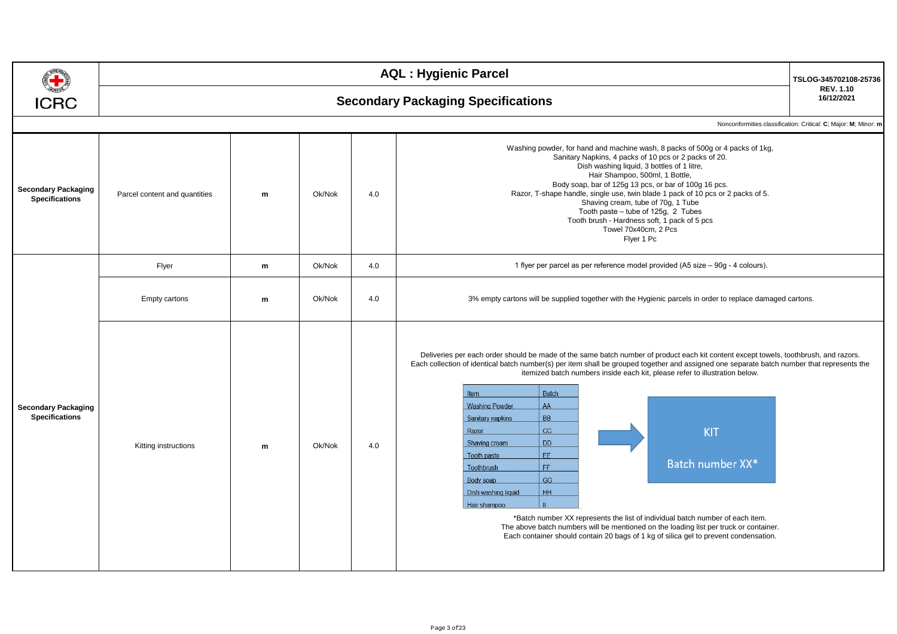|                                                     | <b>AQL: Hygienic Parcel</b>               |           |        |     |                                                                                                                                                                                                                                                                                                                                                                                                                                                                                                                                                                                                                                                                                                                                                                                                                                                                                                                             |                                                                 |  |  |  |  |
|-----------------------------------------------------|-------------------------------------------|-----------|--------|-----|-----------------------------------------------------------------------------------------------------------------------------------------------------------------------------------------------------------------------------------------------------------------------------------------------------------------------------------------------------------------------------------------------------------------------------------------------------------------------------------------------------------------------------------------------------------------------------------------------------------------------------------------------------------------------------------------------------------------------------------------------------------------------------------------------------------------------------------------------------------------------------------------------------------------------------|-----------------------------------------------------------------|--|--|--|--|
| <b>ICRC</b>                                         | <b>Secondary Packaging Specifications</b> |           |        |     |                                                                                                                                                                                                                                                                                                                                                                                                                                                                                                                                                                                                                                                                                                                                                                                                                                                                                                                             |                                                                 |  |  |  |  |
|                                                     |                                           |           |        |     |                                                                                                                                                                                                                                                                                                                                                                                                                                                                                                                                                                                                                                                                                                                                                                                                                                                                                                                             | Nonconformities classification: Critical: C; Major: M; Minor: m |  |  |  |  |
| <b>Secondary Packaging</b><br><b>Specifications</b> | Parcel content and quantities             | ${\bf m}$ | Ok/Nok | 4.0 | Washing powder, for hand and machine wash, 8 packs of 500g or 4 packs of 1kg,<br>Sanitary Napkins, 4 packs of 10 pcs or 2 packs of 20.<br>Dish washing liquid, 3 bottles of 1 litre,<br>Hair Shampoo, 500ml, 1 Bottle,<br>Body soap, bar of 125g 13 pcs, or bar of 100g 16 pcs.<br>Razor, T-shape handle, single use, twin blade 1 pack of 10 pcs or 2 packs of 5.<br>Shaving cream, tube of 70g, 1 Tube<br>Tooth paste - tube of 125g, 2 Tubes<br>Tooth brush - Hardness soft, 1 pack of 5 pcs<br>Towel 70x40cm, 2 Pcs<br>Flyer 1 Pc                                                                                                                                                                                                                                                                                                                                                                                       |                                                                 |  |  |  |  |
|                                                     | Flyer                                     | m         | Ok/Nok | 4.0 | 1 flyer per parcel as per reference model provided (A5 size – 90g - 4 colours).                                                                                                                                                                                                                                                                                                                                                                                                                                                                                                                                                                                                                                                                                                                                                                                                                                             |                                                                 |  |  |  |  |
|                                                     | <b>Empty cartons</b>                      | m         | Ok/Nok | 4.0 | 3% empty cartons will be supplied together with the Hygienic parcels in order to replace damaged cartons.                                                                                                                                                                                                                                                                                                                                                                                                                                                                                                                                                                                                                                                                                                                                                                                                                   |                                                                 |  |  |  |  |
| <b>Secondary Packaging</b><br><b>Specifications</b> | Kitting instructions                      | m         | Ok/Nok | 4.0 | Deliveries per each order should be made of the same batch number of product each kit content except towels, toothbrush, and razors.<br>Each collection of identical batch number(s) per item shall be grouped together and assigned one separate batch number that represents the<br>itemized batch numbers inside each kit, please refer to illustration below.<br>Batch<br>Item<br>AA<br><b>Washing Powder</b><br><b>BB</b><br>Sanitary napkins<br>CC<br><b>KIT</b><br>Razor<br><b>DD</b><br>Shaving cream<br>FF.<br>Tooth paste<br>Batch number XX*<br>FF.<br>Toothbrush<br>GG<br>Body soap<br>HH <sub>.</sub><br>Dish washing liquid<br>Hair shampoo<br>*Batch number XX represents the list of individual batch number of each item.<br>The above batch numbers will be mentioned on the loading list per truck or container.<br>Each container should contain 20 bags of 1 kg of silica gel to prevent condensation. |                                                                 |  |  |  |  |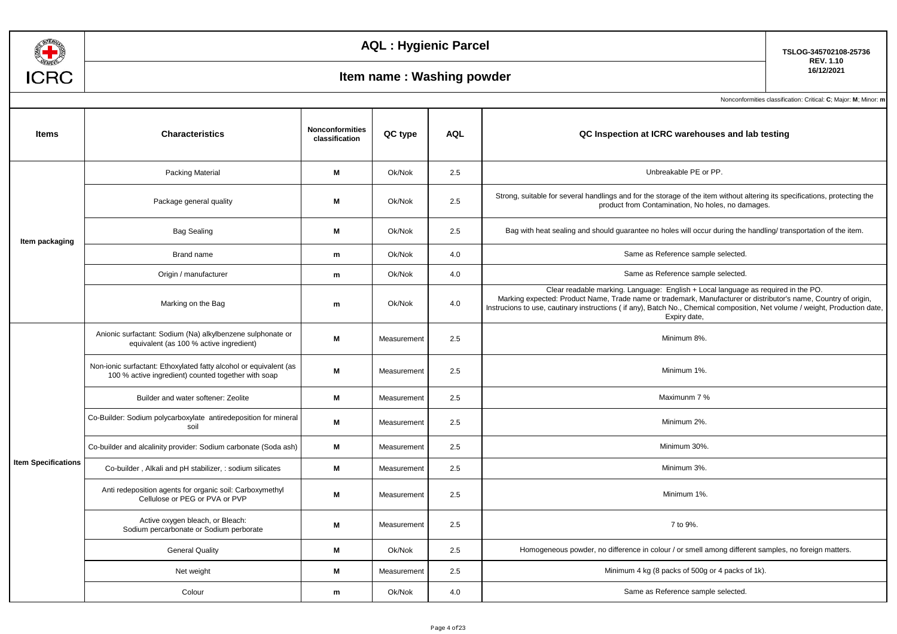

**TSLOG-345702108-25736 REV. 1.10**

## **160 Item name : Washing powder**

| <b>Items</b>               | <b>Characteristics</b>                                                                                                   | <b>Nonconformities</b><br>classification | QC type     | <b>AQL</b> | QC Inspection at ICRC warehouses and lab testing                                                                                                                                                                                                                                                                                                    |
|----------------------------|--------------------------------------------------------------------------------------------------------------------------|------------------------------------------|-------------|------------|-----------------------------------------------------------------------------------------------------------------------------------------------------------------------------------------------------------------------------------------------------------------------------------------------------------------------------------------------------|
|                            | Packing Material                                                                                                         | M                                        | Ok/Nok      | 2.5        | Unbreakable PE or PP.                                                                                                                                                                                                                                                                                                                               |
|                            | Package general quality                                                                                                  | M                                        | Ok/Nok      | 2.5        | Strong, suitable for several handlings and for the storage of the item without altering its specifications, protecting the<br>product from Contamination, No holes, no damages.                                                                                                                                                                     |
| Item packaging             | <b>Bag Sealing</b>                                                                                                       | M                                        | Ok/Nok      | 2.5        | Bag with heat sealing and should quarantee no holes will occur during the handling/transportation of the item.                                                                                                                                                                                                                                      |
|                            | Brand name                                                                                                               | m                                        | Ok/Nok      | 4.0        | Same as Reference sample selected.                                                                                                                                                                                                                                                                                                                  |
|                            | Origin / manufacturer                                                                                                    | m                                        | Ok/Nok      | 4.0        | Same as Reference sample selected.                                                                                                                                                                                                                                                                                                                  |
|                            | Marking on the Bag                                                                                                       | m                                        | Ok/Nok      | 4.0        | Clear readable marking. Language: English + Local language as required in the PO.<br>Marking expected: Product Name, Trade name or trademark, Manufacturer or distributor's name, Country of origin,<br>Instrucions to use, cautinary instructions (if any), Batch No., Chemical composition, Net volume / weight, Production date,<br>Expiry date, |
|                            | Anionic surfactant: Sodium (Na) alkylbenzene sulphonate or<br>equivalent (as 100 % active ingredient)                    | M                                        | Measurement | 2.5        | Minimum 8%.                                                                                                                                                                                                                                                                                                                                         |
|                            | Non-ionic surfactant: Ethoxylated fatty alcohol or equivalent (as<br>100 % active ingredient) counted together with soap | M                                        | Measurement | 2.5        | Minimum 1%.                                                                                                                                                                                                                                                                                                                                         |
|                            | Builder and water softener: Zeolite                                                                                      | M                                        | Measurement | 2.5        | Maximunm 7 %                                                                                                                                                                                                                                                                                                                                        |
|                            | Co-Builder: Sodium polycarboxylate antiredeposition for mineral<br>soil                                                  | M                                        | Measurement | 2.5        | Minimum 2%.                                                                                                                                                                                                                                                                                                                                         |
|                            | Co-builder and alcalinity provider: Sodium carbonate (Soda ash)                                                          | M                                        | Measurement | 2.5        | Minimum 30%.                                                                                                                                                                                                                                                                                                                                        |
| <b>Item Specifications</b> | Co-builder, Alkali and pH stabilizer, : sodium silicates                                                                 | M                                        | Measurement | 2.5        | Minimum 3%.                                                                                                                                                                                                                                                                                                                                         |
|                            | Anti redeposition agents for organic soil: Carboxymethyl<br>Cellulose or PEG or PVA or PVP                               | M                                        | Measurement | 2.5        | Minimum 1%.                                                                                                                                                                                                                                                                                                                                         |
|                            | Active oxygen bleach, or Bleach:<br>Sodium percarbonate or Sodium perborate                                              | M                                        | Measurement | 2.5        | 7 to 9%.                                                                                                                                                                                                                                                                                                                                            |
|                            | <b>General Quality</b>                                                                                                   | M                                        | Ok/Nok      | 2.5        | Homogeneous powder, no difference in colour / or smell among different samples, no foreign matters.                                                                                                                                                                                                                                                 |
|                            | Net weight                                                                                                               | M                                        | Measurement | 2.5        | Minimum 4 kg (8 packs of 500g or 4 packs of 1k).                                                                                                                                                                                                                                                                                                    |
|                            | Colour                                                                                                                   | m                                        | Ok/Nok      | 4.0        | Same as Reference sample selected.                                                                                                                                                                                                                                                                                                                  |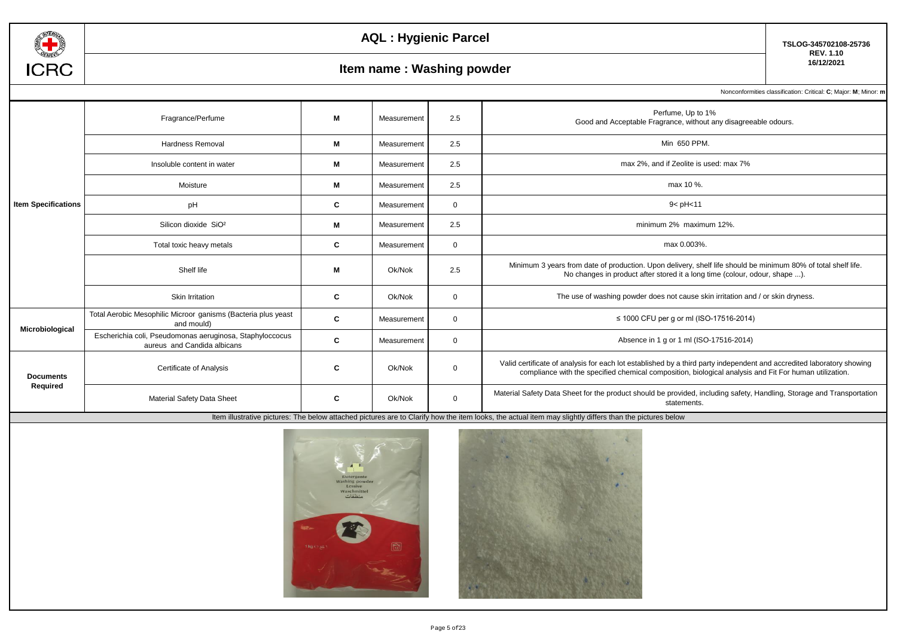

# **16/12/2021 Item name : Washing powder**

**TSLOG-345702108-25736 REV. 1.10**

Nonconformities classification: Critical: **C**; Major: **M**; Minor: **m**

|                              | Fragrance/Perfume                                                                       | м  | Measurement | 2.5          | Perfume, Up to 1%<br>Good and Acceptable Fragrance, without any disagreeable odours.                                                                                                                                            |
|------------------------------|-----------------------------------------------------------------------------------------|----|-------------|--------------|---------------------------------------------------------------------------------------------------------------------------------------------------------------------------------------------------------------------------------|
|                              | Hardness Removal                                                                        | м  | Measurement | 2.5          | Min 650 PPM.                                                                                                                                                                                                                    |
|                              | Insoluble content in water                                                              | M  | Measurement | 2.5          | max 2%, and if Zeolite is used: max 7%                                                                                                                                                                                          |
|                              | Moisture                                                                                | M  | Measurement | 2.5          | max 10 %.                                                                                                                                                                                                                       |
| <b>Item Specifications</b>   | pH                                                                                      | C. | Measurement | $\mathbf{0}$ | 9 < pH < 11                                                                                                                                                                                                                     |
|                              | Silicon dioxide SiO <sup>2</sup>                                                        | M  | Measurement | 2.5          | minimum 2% maximum 12%.                                                                                                                                                                                                         |
|                              | Total toxic heavy metals                                                                | C  | Measurement | $\mathbf{0}$ | max 0.003%.                                                                                                                                                                                                                     |
|                              | Shelf life                                                                              | м  | Ok/Nok      | 2.5          | Minimum 3 years from date of production. Upon delivery, shelf life should be minimum 80% of total shelf life.<br>No changes in product after stored it a long time (colour, odour, shape ).                                     |
|                              | Skin Irritation                                                                         | C  | Ok/Nok      | $\Omega$     | The use of washing powder does not cause skin irritation and / or skin dryness.                                                                                                                                                 |
| Microbiological              | Total Aerobic Mesophilic Microor ganisms (Bacteria plus yeast<br>and mould)             | C  | Measurement | $\Omega$     | ≤ 1000 CFU per g or ml (ISO-17516-2014)                                                                                                                                                                                         |
|                              | Escherichia coli, Pseudomonas aeruginosa, Staphyloccocus<br>aureus and Candida albicans | C  | Measurement | $\mathbf 0$  | Absence in 1 g or 1 ml (ISO-17516-2014)                                                                                                                                                                                         |
| <b>Documents</b><br>Required | Certificate of Analysis                                                                 | C  | Ok/Nok      | $\Omega$     | Valid certificate of analysis for each lot established by a third party independent and accredited laboratory showing<br>compliance with the specified chemical composition, biological analysis and Fit For human utilization. |
|                              | Material Safety Data Sheet                                                              | C  | Ok/Nok      | $\mathbf{0}$ | Material Safety Data Sheet for the product should be provided, including safety, Handling, Storage and Transportation<br>statements.                                                                                            |



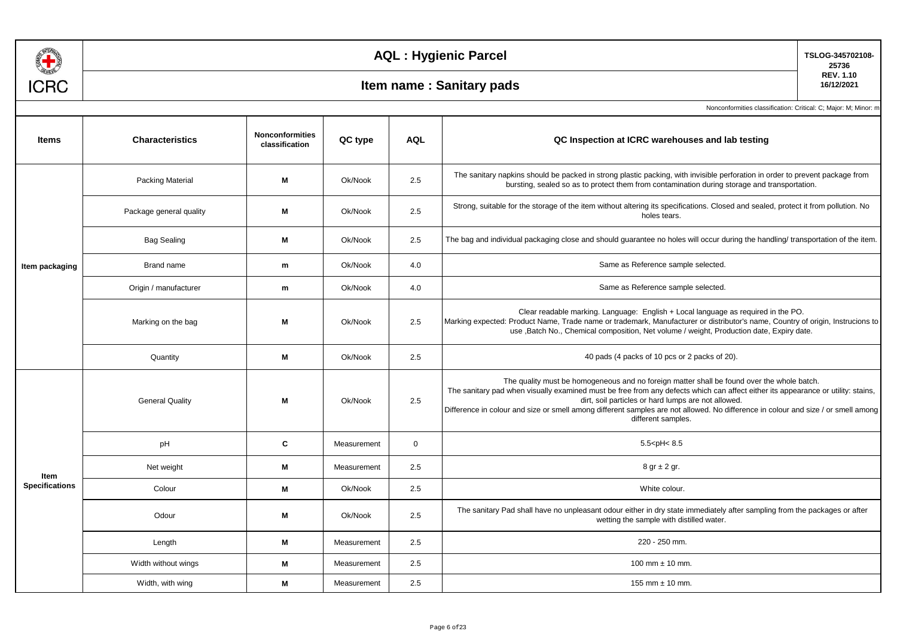

## **160 Item name : Sanitary pads**

**TSLOG-345702108- 25736 REV. 1.10**

| <b>Items</b>          | <b>Characteristics</b>  | <b>Nonconformities</b><br>classification | QC type     | <b>AQL</b>  | QC Inspection at ICRC warehouses and lab testing                                                                                                                                                                                                                                                                                                                                                                                                 |  |
|-----------------------|-------------------------|------------------------------------------|-------------|-------------|--------------------------------------------------------------------------------------------------------------------------------------------------------------------------------------------------------------------------------------------------------------------------------------------------------------------------------------------------------------------------------------------------------------------------------------------------|--|
|                       | <b>Packing Material</b> | M                                        | Ok/Nook     | 2.5         | The sanitary napkins should be packed in strong plastic packing, with invisible perforation in order to prevent package from<br>bursting, sealed so as to protect them from contamination during storage and transportation.                                                                                                                                                                                                                     |  |
|                       | Package general quality | M                                        | Ok/Nook     | 2.5         | Strong, suitable for the storage of the item without altering its specifications. Closed and sealed, protect it from pollution. No<br>holes tears.                                                                                                                                                                                                                                                                                               |  |
|                       | <b>Bag Sealing</b>      | M                                        | Ok/Nook     | 2.5         | The bag and individual packaging close and should guarantee no holes will occur during the handling/ transportation of the item.                                                                                                                                                                                                                                                                                                                 |  |
| Item packaging        | Brand name              | m                                        | Ok/Nook     | 4.0         | Same as Reference sample selected.                                                                                                                                                                                                                                                                                                                                                                                                               |  |
|                       | Origin / manufacturer   | m                                        | Ok/Nook     | 4.0         | Same as Reference sample selected.                                                                                                                                                                                                                                                                                                                                                                                                               |  |
|                       | Marking on the bag      | M                                        | Ok/Nook     | 2.5         | Clear readable marking. Language: English + Local language as required in the PO.<br>Marking expected: Product Name, Trade name or trademark, Manufacturer or distributor's name, Country of origin, Instrucions to<br>use , Batch No., Chemical composition, Net volume / weight, Production date, Expiry date.                                                                                                                                 |  |
|                       | Quantity                | M                                        | Ok/Nook     | 2.5         | 40 pads (4 packs of 10 pcs or 2 packs of 20).                                                                                                                                                                                                                                                                                                                                                                                                    |  |
|                       | <b>General Quality</b>  | M                                        | Ok/Nook     | 2.5         | The quality must be homogeneous and no foreign matter shall be found over the whole batch.<br>The sanitary pad when visually examined must be free from any defects which can affect either its appearance or utility: stains,<br>dirt, soil particles or hard lumps are not allowed.<br>Difference in colour and size or smell among different samples are not allowed. No difference in colour and size / or smell among<br>different samples. |  |
|                       | pH                      | C                                        | Measurement | $\mathbf 0$ | $5.5$ <ph<<math>8.5</ph<<math>                                                                                                                                                                                                                                                                                                                                                                                                                   |  |
| Item                  | Net weight              | M                                        | Measurement | 2.5         | $8$ gr $\pm$ 2 gr.                                                                                                                                                                                                                                                                                                                                                                                                                               |  |
| <b>Specifications</b> | Colour                  | M                                        | Ok/Nook     | 2.5         | White colour.                                                                                                                                                                                                                                                                                                                                                                                                                                    |  |
|                       | Odour                   | M                                        | Ok/Nook     | 2.5         | The sanitary Pad shall have no unpleasant odour either in dry state immediately after sampling from the packages or after<br>wetting the sample with distilled water.                                                                                                                                                                                                                                                                            |  |
|                       | Length                  | M                                        | Measurement | 2.5         | 220 - 250 mm.                                                                                                                                                                                                                                                                                                                                                                                                                                    |  |
|                       | Width without wings     | M                                        | Measurement | 2.5         | 100 mm $\pm$ 10 mm.                                                                                                                                                                                                                                                                                                                                                                                                                              |  |
|                       | Width, with wing        | M                                        | Measurement | 2.5         | 155 mm $\pm$ 10 mm.                                                                                                                                                                                                                                                                                                                                                                                                                              |  |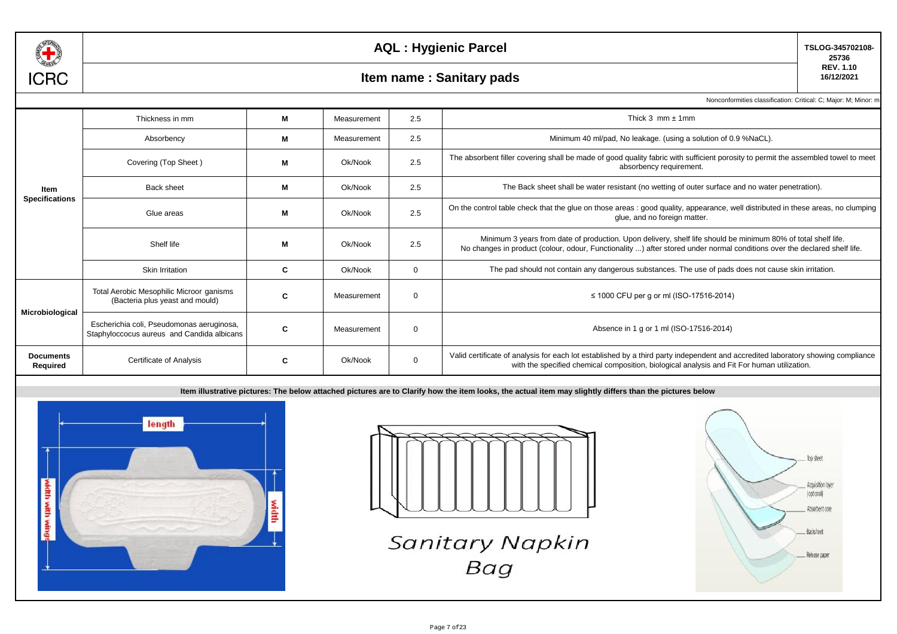

**TSLOG-345702108- 25736 REV. 1.10**

### **160 Item name : Sanitary pads**

Nonconformities classification: Critical: C; Major: M; Minor: m

|                              | Thickness in mm                                                                         | М | Measurement | 2.5         | Thick $3$ mm $\pm$ 1mm                                                                                                                                                                                                                    |
|------------------------------|-----------------------------------------------------------------------------------------|---|-------------|-------------|-------------------------------------------------------------------------------------------------------------------------------------------------------------------------------------------------------------------------------------------|
|                              | Absorbency                                                                              | M | Measurement | 2.5         | Minimum 40 ml/pad, No leakage. (using a solution of 0.9 %NaCL).                                                                                                                                                                           |
|                              | Covering (Top Sheet)                                                                    | M | Ok/Nook     | 2.5         | The absorbent filler covering shall be made of good quality fabric with sufficient porosity to permit the assembled towel to meet<br>absorbency requirement.                                                                              |
| Item                         | <b>Back sheet</b>                                                                       | M | Ok/Nook     | 2.5         | The Back sheet shall be water resistant (no wetting of outer surface and no water penetration).                                                                                                                                           |
| <b>Specifications</b>        | Glue areas                                                                              | M | Ok/Nook     | 2.5         | On the control table check that the glue on those areas : good quality, appearance, well distributed in these areas, no clumping<br>glue, and no foreign matter.                                                                          |
|                              | Shelf life                                                                              | M | Ok/Nook     | 2.5         | Minimum 3 years from date of production. Upon delivery, shelf life should be minimum 80% of total shelf life.<br>No changes in product (colour, odour, Functionality ) after stored under normal conditions over the declared shelf life. |
|                              | Skin Irritation                                                                         | C | Ok/Nook     | $\mathbf 0$ | The pad should not contain any dangerous substances. The use of pads does not cause skin irritation.                                                                                                                                      |
|                              | Total Aerobic Mesophilic Microor ganisms<br>(Bacteria plus yeast and mould)             | C | Measurement | $\mathbf 0$ | ≤ 1000 CFU per g or ml (ISO-17516-2014)                                                                                                                                                                                                   |
| Microbiological              | Escherichia coli, Pseudomonas aeruginosa,<br>Staphyloccocus aureus and Candida albicans | C | Measurement | $\mathbf 0$ | Absence in 1 g or 1 ml (ISO-17516-2014)                                                                                                                                                                                                   |
| <b>Documents</b><br>Required | Certificate of Analysis                                                                 | C | Ok/Nook     | $\mathbf 0$ | Valid certificate of analysis for each lot established by a third party independent and accredited laboratory showing compliance<br>with the specified chemical composition, biological analysis and Fit For human utilization.           |





**Sanitary Napkin Bag** 

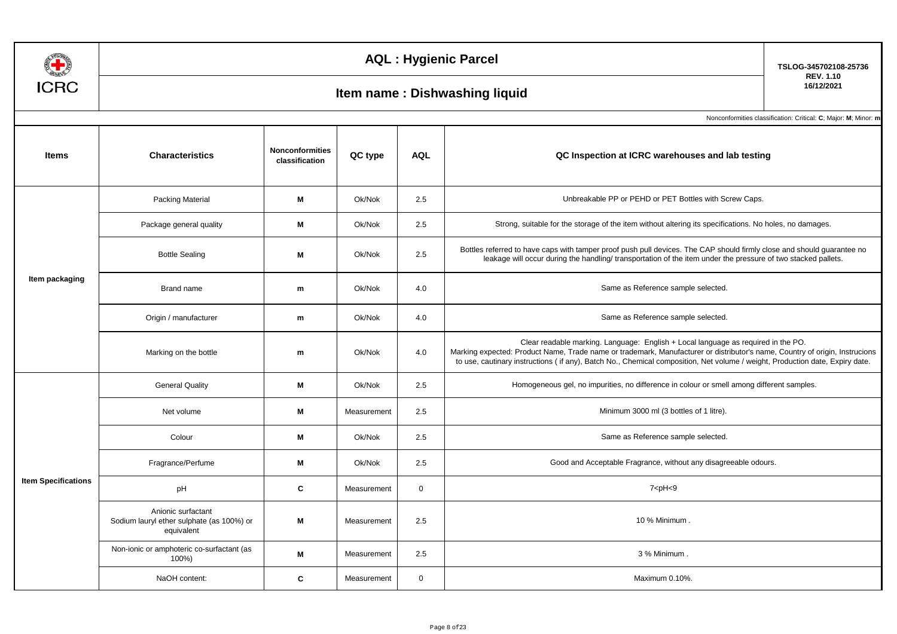| ı<br>◡<br>۱ |  |
|-------------|--|

**TSLOG-345702108-25736 REV. 1.10**

# **16/12/2021 Item name : Dishwashing liquid**

| <b>Items</b>               | <b>Characteristics</b>                                                        | <b>Nonconformities</b><br>classification | QC type     | <b>AQL</b>   | QC Inspection at ICRC warehouses and lab testing                                                                                                                                                                                                                                                                                                 |
|----------------------------|-------------------------------------------------------------------------------|------------------------------------------|-------------|--------------|--------------------------------------------------------------------------------------------------------------------------------------------------------------------------------------------------------------------------------------------------------------------------------------------------------------------------------------------------|
|                            | <b>Packing Material</b>                                                       | М                                        | Ok/Nok      | 2.5          | Unbreakable PP or PEHD or PET Bottles with Screw Caps.                                                                                                                                                                                                                                                                                           |
|                            | Package general quality                                                       | М                                        | Ok/Nok      | 2.5          | Strong, suitable for the storage of the item without altering its specifications. No holes, no damages.                                                                                                                                                                                                                                          |
|                            | <b>Bottle Sealing</b>                                                         | М                                        | Ok/Nok      | 2.5          | Bottles referred to have caps with tamper proof push pull devices. The CAP should firmly close and should guarantee no<br>leakage will occur during the handling/ transportation of the item under the pressure of two stacked pallets.                                                                                                          |
| Item packaging             | <b>Brand name</b>                                                             | m                                        | Ok/Nok      | 4.0          | Same as Reference sample selected.                                                                                                                                                                                                                                                                                                               |
|                            | Origin / manufacturer<br>m                                                    |                                          | Ok/Nok      | 4.0          | Same as Reference sample selected.                                                                                                                                                                                                                                                                                                               |
|                            | Marking on the bottle                                                         | m                                        | Ok/Nok      | 4.0          | Clear readable marking. Language: English + Local language as required in the PO.<br>Marking expected: Product Name, Trade name or trademark, Manufacturer or distributor's name, Country of origin, Instrucions<br>to use, cautinary instructions (if any), Batch No., Chemical composition, Net volume / weight, Production date, Expiry date. |
|                            | <b>General Quality</b>                                                        | М                                        | Ok/Nok      | 2.5          | Homogeneous gel, no impurities, no difference in colour or smell among different samples.                                                                                                                                                                                                                                                        |
|                            | Net volume                                                                    | М                                        | Measurement | 2.5          | Minimum 3000 ml (3 bottles of 1 litre).                                                                                                                                                                                                                                                                                                          |
|                            | Colour                                                                        | М                                        | Ok/Nok      | 2.5          | Same as Reference sample selected.                                                                                                                                                                                                                                                                                                               |
|                            | Fragrance/Perfume                                                             | М                                        | Ok/Nok      | 2.5          | Good and Acceptable Fragrance, without any disagreeable odours.                                                                                                                                                                                                                                                                                  |
| <b>Item Specifications</b> | pH                                                                            | C                                        | Measurement | $\mathbf{0}$ | $7$ <ph <9<="" td=""></ph>                                                                                                                                                                                                                                                                                                                       |
|                            | Anionic surfactant<br>Sodium lauryl ether sulphate (as 100%) or<br>equivalent | М                                        | Measurement | 2.5          | 10 % Minimum.                                                                                                                                                                                                                                                                                                                                    |
|                            | Non-ionic or amphoteric co-surfactant (as<br>100%)                            | М                                        | Measurement | 2.5          | 3 % Minimum.                                                                                                                                                                                                                                                                                                                                     |
|                            | NaOH content:                                                                 | C                                        | Measurement | $\mathbf 0$  | Maximum 0.10%.                                                                                                                                                                                                                                                                                                                                   |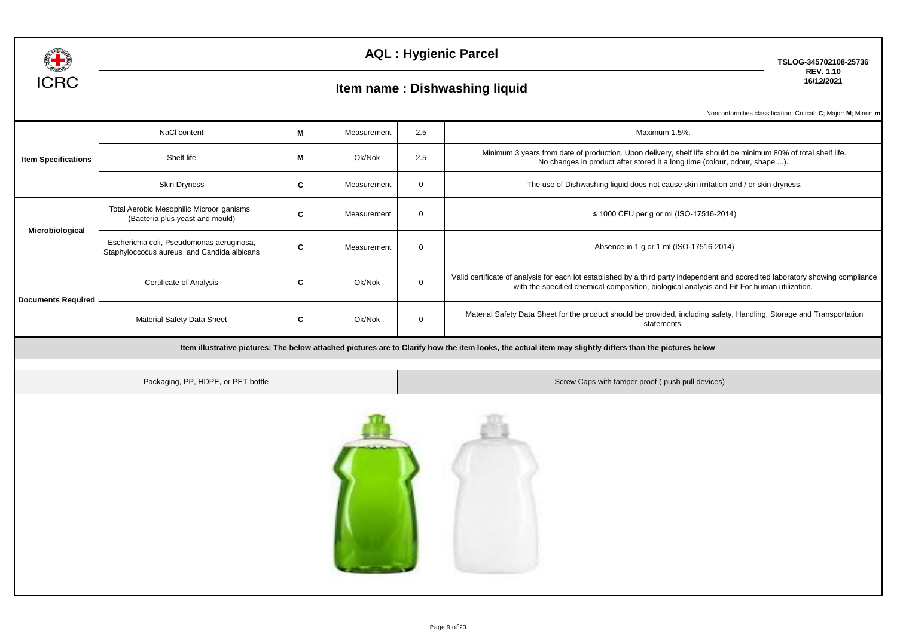

# **16/12/2021 Item name : Dishwashing liquid**

**TSLOG-345702108-25736 REV. 1.10**

|                            | NaCl content                                                                            | М | Measurement | 2.5         | Maximum 1.5%.                                                                                                                                                                                                                   |  |  |  |  |
|----------------------------|-----------------------------------------------------------------------------------------|---|-------------|-------------|---------------------------------------------------------------------------------------------------------------------------------------------------------------------------------------------------------------------------------|--|--|--|--|
| <b>Item Specifications</b> | Shelf life                                                                              | М | Ok/Nok      | 2.5         | Minimum 3 years from date of production. Upon delivery, shelf life should be minimum 80% of total shelf life.<br>No changes in product after stored it a long time (colour, odour, shape ).                                     |  |  |  |  |
|                            | Skin Dryness                                                                            | C | Measurement | $\mathbf 0$ | The use of Dishwashing liquid does not cause skin irritation and / or skin dryness.                                                                                                                                             |  |  |  |  |
| Microbiological            | Total Aerobic Mesophilic Microor ganisms<br>(Bacteria plus yeast and mould)             | C | Measurement | $\mathbf 0$ | ≤ 1000 CFU per g or ml (ISO-17516-2014)                                                                                                                                                                                         |  |  |  |  |
|                            | Escherichia coli, Pseudomonas aeruginosa,<br>Staphyloccocus aureus and Candida albicans | C | Measurement | $\mathbf 0$ | Absence in 1 g or 1 ml (ISO-17516-2014)                                                                                                                                                                                         |  |  |  |  |
| <b>Documents Required</b>  | Certificate of Analysis                                                                 | C | Ok/Nok      | $\mathbf 0$ | Valid certificate of analysis for each lot established by a third party independent and accredited laboratory showing compliance<br>with the specified chemical composition, biological analysis and Fit For human utilization. |  |  |  |  |
|                            | Material Safety Data Sheet                                                              | C | Ok/Nok      | $\mathbf 0$ | Material Safety Data Sheet for the product should be provided, including safety, Handling, Storage and Transportation<br>statements.                                                                                            |  |  |  |  |
|                            |                                                                                         |   |             |             | Item illustrative pictures: The below attached pictures are to Clarify how the item looks, the actual item may slightly differs than the pictures below                                                                         |  |  |  |  |
|                            | Packaging, PP, HDPE, or PET bottle                                                      |   |             |             | Screw Caps with tamper proof (push pull devices)                                                                                                                                                                                |  |  |  |  |
|                            |                                                                                         |   |             |             |                                                                                                                                                                                                                                 |  |  |  |  |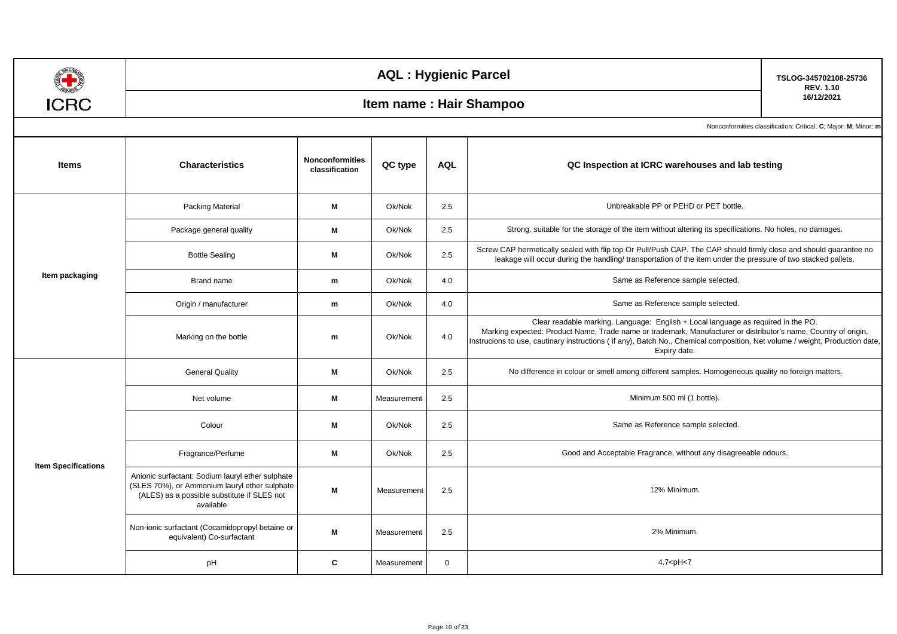|                            |                                                                                                                                                               |                                                                 | <b>AQL: Hygienic Parcel</b> |             |                                                                                                                                                                                                                                                                                                                                                     | TSLOG-345702108-25736<br><b>REV. 1.10</b> |
|----------------------------|---------------------------------------------------------------------------------------------------------------------------------------------------------------|-----------------------------------------------------------------|-----------------------------|-------------|-----------------------------------------------------------------------------------------------------------------------------------------------------------------------------------------------------------------------------------------------------------------------------------------------------------------------------------------------------|-------------------------------------------|
| <b>ICRC</b>                |                                                                                                                                                               | Item name : Hair Shampoo                                        | 16/12/2021                  |             |                                                                                                                                                                                                                                                                                                                                                     |                                           |
|                            |                                                                                                                                                               | Nonconformities classification: Critical: C; Major: M; Minor: m |                             |             |                                                                                                                                                                                                                                                                                                                                                     |                                           |
| <b>Items</b>               | <b>Nonconformities</b><br><b>Characteristics</b><br>QC type<br><b>AQL</b><br>QC Inspection at ICRC warehouses and lab testing<br>classification               |                                                                 |                             |             |                                                                                                                                                                                                                                                                                                                                                     |                                           |
|                            | Packing Material                                                                                                                                              | M                                                               | Ok/Nok                      | 2.5         | Unbreakable PP or PEHD or PET bottle.                                                                                                                                                                                                                                                                                                               |                                           |
|                            | Package general quality                                                                                                                                       | M                                                               | Ok/Nok                      | 2.5         | Strong, suitable for the storage of the item without altering its specifications. No holes, no damages.                                                                                                                                                                                                                                             |                                           |
|                            | <b>Bottle Sealing</b>                                                                                                                                         | M                                                               | Ok/Nok                      | 2.5         | Screw CAP hermetically sealed with flip top Or Pull/Push CAP. The CAP should firmly close and should guarantee no<br>leakage will occur during the handling/ transportation of the item under the pressure of two stacked pallets.                                                                                                                  |                                           |
| Item packaging             | Same as Reference sample selected.<br>Ok/Nok<br>4.0<br>Brand name<br>${\bf m}$                                                                                |                                                                 |                             |             |                                                                                                                                                                                                                                                                                                                                                     |                                           |
|                            | Origin / manufacturer                                                                                                                                         | m                                                               | Ok/Nok                      | 4.0         | Same as Reference sample selected.                                                                                                                                                                                                                                                                                                                  |                                           |
|                            | Marking on the bottle                                                                                                                                         | m                                                               | Ok/Nok                      | 4.0         | Clear readable marking. Language: English + Local language as required in the PO.<br>Marking expected: Product Name, Trade name or trademark, Manufacturer or distributor's name, Country of origin,<br>Instrucions to use, cautinary instructions (if any), Batch No., Chemical composition, Net volume / weight, Production date,<br>Expiry date. |                                           |
|                            | <b>General Quality</b>                                                                                                                                        | M                                                               | Ok/Nok                      | 2.5         | No difference in colour or smell among different samples. Homogeneous quality no foreign matters.                                                                                                                                                                                                                                                   |                                           |
|                            | М<br>Net volume                                                                                                                                               |                                                                 | Measurement                 | 2.5         | Minimum 500 ml (1 bottle).                                                                                                                                                                                                                                                                                                                          |                                           |
|                            | Colour                                                                                                                                                        | M                                                               | Ok/Nok                      | 2.5         | Same as Reference sample selected.                                                                                                                                                                                                                                                                                                                  |                                           |
|                            | Fragrance/Perfume                                                                                                                                             | M                                                               | Ok/Nok                      | 2.5         | Good and Acceptable Fragrance, without any disagreeable odours.                                                                                                                                                                                                                                                                                     |                                           |
| <b>Item Specifications</b> | Anionic surfactant: Sodium lauryl ether sulphate<br>(SLES 70%), or Ammonium lauryl ether sulphate<br>(ALES) as a possible substitute if SLES not<br>available | M                                                               | Measurement                 | 2.5         | 12% Minimum.                                                                                                                                                                                                                                                                                                                                        |                                           |
|                            | Non-ionic surfactant (Cocamidopropyl betaine or<br>equivalent) Co-surfactant                                                                                  | M                                                               | Measurement                 | 2.5         | 2% Minimum.                                                                                                                                                                                                                                                                                                                                         |                                           |
|                            | pH                                                                                                                                                            | C                                                               | Measurement                 | $\mathbf 0$ | 4.7 <ph<7< th=""><th></th></ph<7<>                                                                                                                                                                                                                                                                                                                  |                                           |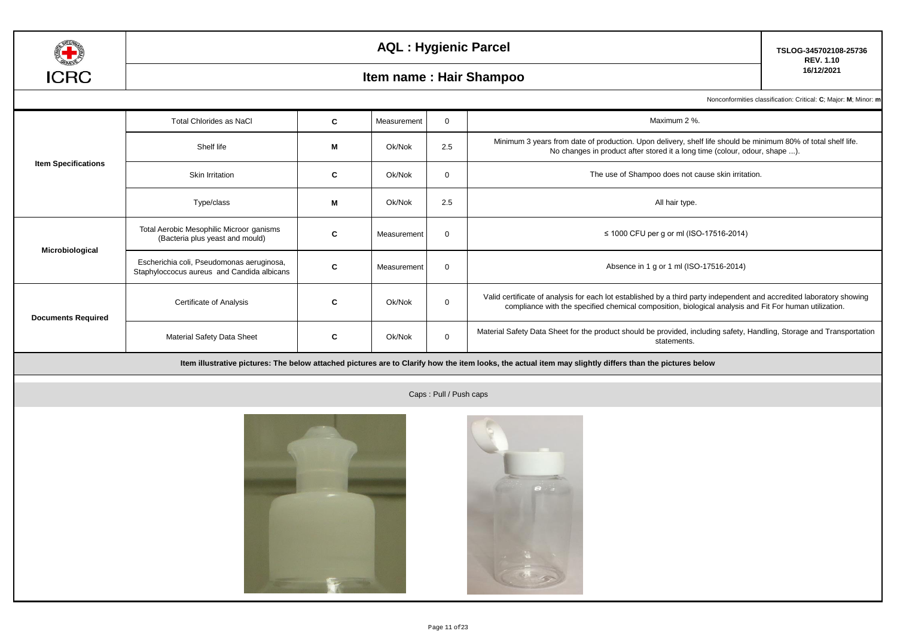

**TSLOG-345702108-25736 REV. 1.10**

### **16/12/2021 Item name : Hair Shampoo**

Nonconformities classification: Critical: **C**; Major: **M**; Minor: **m** 

|                            | <b>Total Chlorides as NaCl</b>                                                          | C | Measurement | $\mathbf 0$ | Maximum 2 %.                                                                                                                                                                                                                    |
|----------------------------|-----------------------------------------------------------------------------------------|---|-------------|-------------|---------------------------------------------------------------------------------------------------------------------------------------------------------------------------------------------------------------------------------|
|                            | Shelf life                                                                              | M | Ok/Nok      | 2.5         | Minimum 3 years from date of production. Upon delivery, shelf life should be minimum 80% of total shelf life.<br>No changes in product after stored it a long time (colour, odour, shape ).                                     |
| <b>Item Specifications</b> | <b>Skin Irritation</b>                                                                  | C | Ok/Nok      | $\mathbf 0$ | The use of Shampoo does not cause skin irritation.                                                                                                                                                                              |
|                            | Type/class                                                                              | M | Ok/Nok      | 2.5         | All hair type.                                                                                                                                                                                                                  |
|                            | Total Aerobic Mesophilic Microor ganisms<br>(Bacteria plus yeast and mould)             | C | Measurement | $\Omega$    | ≤ 1000 CFU per g or ml (ISO-17516-2014)                                                                                                                                                                                         |
| Microbiological            | Escherichia coli, Pseudomonas aeruginosa,<br>Staphyloccocus aureus and Candida albicans | C | Measurement | $\Omega$    | Absence in 1 g or 1 ml (ISO-17516-2014)                                                                                                                                                                                         |
| <b>Documents Required</b>  | Certificate of Analysis                                                                 | C | Ok/Nok      | $\mathbf 0$ | Valid certificate of analysis for each lot established by a third party independent and accredited laboratory showing<br>compliance with the specified chemical composition, biological analysis and Fit For human utilization. |
|                            | <b>Material Safety Data Sheet</b>                                                       | C | Ok/Nok      | $\mathbf 0$ | Material Safety Data Sheet for the product should be provided, including safety, Handling, Storage and Transportation<br>statements.                                                                                            |





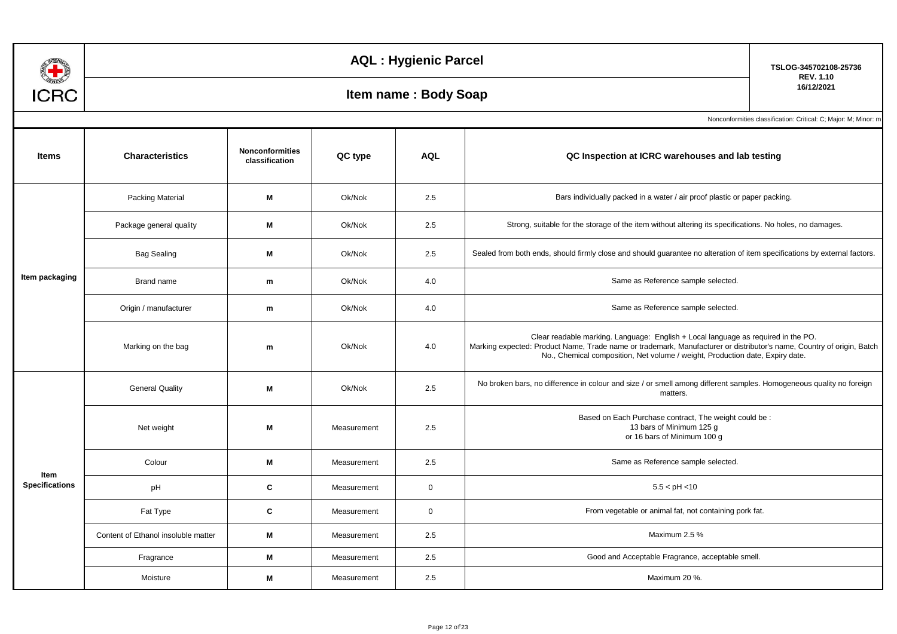| E B                           |                         | TSLOG-345702108-25736                    |                                                                                            |                                                                                                         |                                                                                                                                                                                                                                                                                             |                                                               |
|-------------------------------|-------------------------|------------------------------------------|--------------------------------------------------------------------------------------------|---------------------------------------------------------------------------------------------------------|---------------------------------------------------------------------------------------------------------------------------------------------------------------------------------------------------------------------------------------------------------------------------------------------|---------------------------------------------------------------|
| <b>ICRC</b>                   |                         | <b>REV. 1.10</b><br>16/12/2021           |                                                                                            |                                                                                                         |                                                                                                                                                                                                                                                                                             |                                                               |
|                               |                         |                                          |                                                                                            |                                                                                                         |                                                                                                                                                                                                                                                                                             | Nonconformities classification: Critical: C; Major: M; Minor: |
| <b>Items</b>                  | <b>Characteristics</b>  | <b>Nonconformities</b><br>classification | QC type                                                                                    | <b>AQL</b>                                                                                              | QC Inspection at ICRC warehouses and lab testing                                                                                                                                                                                                                                            |                                                               |
|                               | <b>Packing Material</b> | М                                        | Bars individually packed in a water / air proof plastic or paper packing.<br>Ok/Nok<br>2.5 |                                                                                                         |                                                                                                                                                                                                                                                                                             |                                                               |
|                               | Package general quality | Ok/Nok<br>2.5<br>М                       |                                                                                            | Strong, suitable for the storage of the item without altering its specifications. No holes, no damages. |                                                                                                                                                                                                                                                                                             |                                                               |
|                               | <b>Bag Sealing</b>      | M                                        | Ok/Nok                                                                                     | 2.5                                                                                                     | Sealed from both ends, should firmly close and should guarantee no alteration of item specifications by external factors.                                                                                                                                                                   |                                                               |
| Item packaging                | Brand name              | m                                        | Ok/Nok                                                                                     | 4.0                                                                                                     | Same as Reference sample selected.                                                                                                                                                                                                                                                          |                                                               |
|                               | Origin / manufacturer   | m                                        | Ok/Nok                                                                                     | 4.0                                                                                                     | Same as Reference sample selected.                                                                                                                                                                                                                                                          |                                                               |
|                               | Marking on the bag      | m                                        | Ok/Nok                                                                                     | 4.0                                                                                                     | Clear readable marking. Language: English + Local language as required in the PO.<br>Marking expected: Product Name, Trade name or trademark, Manufacturer or distributor's name, Country of origin, Batch<br>No., Chemical composition, Net volume / weight, Production date, Expiry date. |                                                               |
|                               | <b>General Quality</b>  | M                                        | Ok/Nok                                                                                     | 2.5                                                                                                     | No broken bars, no difference in colour and size / or smell among different samples. Homogeneous quality no foreign<br>matters.                                                                                                                                                             |                                                               |
|                               | Net weight              | M                                        | Measurement                                                                                | 2.5                                                                                                     | Based on Each Purchase contract, The weight could be :<br>13 bars of Minimum 125 g<br>or 16 bars of Minimum 100 g                                                                                                                                                                           |                                                               |
|                               | Colour                  | М                                        | Measurement                                                                                | 2.5                                                                                                     | Same as Reference sample selected.                                                                                                                                                                                                                                                          |                                                               |
| Item<br><b>Specifications</b> | pH                      | C                                        | Measurement                                                                                | $\mathbf{0}$                                                                                            | 5.5 < pH < 10                                                                                                                                                                                                                                                                               |                                                               |
|                               | Fat Tyne                | $\mathbf{C}$                             | Measurement                                                                                | $\Omega$                                                                                                | From vegetable or animal fat, not containing pork fat.                                                                                                                                                                                                                                      |                                                               |

Content of Ethanol insoluble matter

**Fragrance Moisture** 

| ianu nam <del>c</del>  |   | UNIVUN      | −.∪           | <u>oanic as ricicicitiec sample selected</u> .                                                                                                                                                                                                                                              |
|------------------------|---|-------------|---------------|---------------------------------------------------------------------------------------------------------------------------------------------------------------------------------------------------------------------------------------------------------------------------------------------|
| / manufacturer         | m | Ok/Nok      | 4.0           | Same as Reference sample selected.                                                                                                                                                                                                                                                          |
| ing on the bag         | m | Ok/Nok      | 4.0           | Clear readable marking. Language: English + Local language as required in the PO.<br>Marking expected: Product Name, Trade name or trademark, Manufacturer or distributor's name, Country of origin, Batch<br>No., Chemical composition, Net volume / weight, Production date, Expiry date. |
| neral Quality          | M | Ok/Nok      | 2.5           | No broken bars, no difference in colour and size / or smell among different samples. Homogeneous quality no foreign<br>matters.                                                                                                                                                             |
| let weight             | M | Measurement | 2.5           | Based on Each Purchase contract, The weight could be :<br>13 bars of Minimum 125 g<br>or 16 bars of Minimum 100 g                                                                                                                                                                           |
| Colour                 | M | Measurement | 2.5           | Same as Reference sample selected.                                                                                                                                                                                                                                                          |
| pH                     | C | Measurement | $\mathbf 0$   | 5.5 < pH < 10                                                                                                                                                                                                                                                                               |
| Fat Type               | C | Measurement | $\mathbf 0$   | From vegetable or animal fat, not containing pork fat.                                                                                                                                                                                                                                      |
| hanol insoluble matter | М | Measurement | 2.5           | Maximum 2.5 %                                                                                                                                                                                                                                                                               |
| Fragrance              | M | Measurement | 2.5           | Good and Acceptable Fragrance, acceptable smell.                                                                                                                                                                                                                                            |
| Moisture               | M | Measurement | 2.5           | Maximum 20 %.                                                                                                                                                                                                                                                                               |
|                        |   |             | Page 12 of 23 |                                                                                                                                                                                                                                                                                             |
|                        |   |             |               |                                                                                                                                                                                                                                                                                             |
|                        |   |             |               |                                                                                                                                                                                                                                                                                             |
|                        |   |             |               |                                                                                                                                                                                                                                                                                             |
|                        |   |             |               |                                                                                                                                                                                                                                                                                             |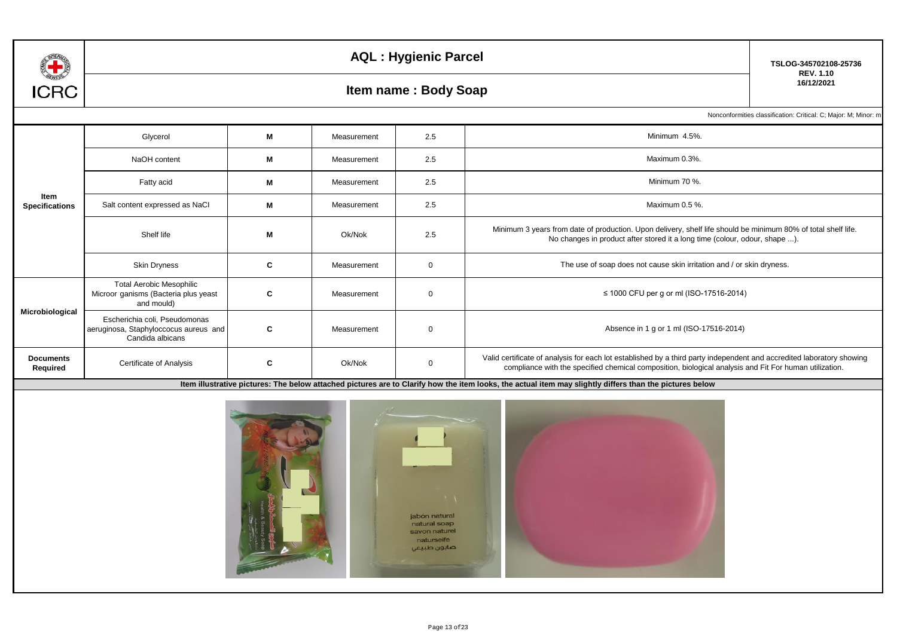

## **160 Item name : Body Soap**

**TSLOG-345702108-25736 REV. 1.10**

Nonconformities classification: Critical: C; Major: M; Minor: m

|                               | Glycerol                                                                                   | м | Measurement | 2.5          | Minimum 4.5%.                                                                                                                                                                                                                   |
|-------------------------------|--------------------------------------------------------------------------------------------|---|-------------|--------------|---------------------------------------------------------------------------------------------------------------------------------------------------------------------------------------------------------------------------------|
|                               | NaOH content                                                                               | M | Measurement | 2.5          | Maximum 0.3%.                                                                                                                                                                                                                   |
|                               | Fatty acid                                                                                 | M | Measurement | 2.5          | Minimum 70 %.                                                                                                                                                                                                                   |
| Item<br><b>Specifications</b> | Salt content expressed as NaCl                                                             | M | Measurement | 2.5          | Maximum 0.5 %.                                                                                                                                                                                                                  |
|                               | Shelf life                                                                                 | М | Ok/Nok      | 2.5          | Minimum 3 years from date of production. Upon delivery, shelf life should be minimum 80% of total shelf life.<br>No changes in product after stored it a long time (colour, odour, shape ).                                     |
|                               | <b>Skin Dryness</b>                                                                        | C | Measurement | $\mathbf{0}$ | The use of soap does not cause skin irritation and / or skin dryness.                                                                                                                                                           |
|                               | <b>Total Aerobic Mesophilic</b><br>Microor ganisms (Bacteria plus yeast<br>and mould)      | C | Measurement | $\mathbf 0$  | ≤ 1000 CFU per g or ml (ISO-17516-2014)                                                                                                                                                                                         |
| Microbiological               | Escherichia coli, Pseudomonas<br>aeruginosa, Staphyloccocus aureus and<br>Candida albicans | C | Measurement | $\mathbf 0$  | Absence in 1 g or 1 ml (ISO-17516-2014)                                                                                                                                                                                         |
| <b>Documents</b><br>Required  | Certificate of Analysis                                                                    | C | Ok/Nok      | $\Omega$     | Valid certificate of analysis for each lot established by a third party independent and accredited laboratory showing<br>compliance with the specified chemical composition, biological analysis and Fit For human utilization. |

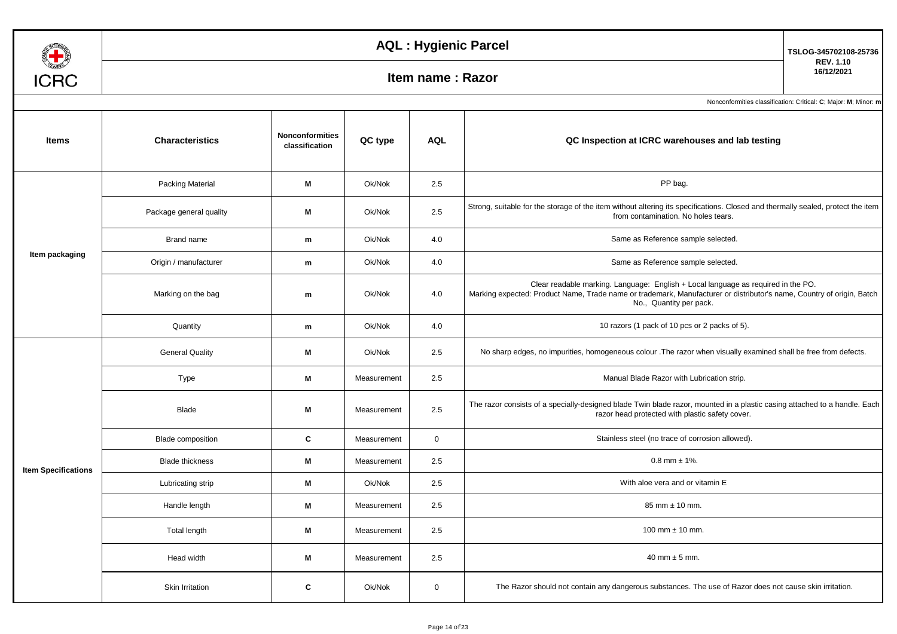

## **1600 Item name : Razor**

**TSLOG-345702108-25736**

**REV. 1.10**

| <b>Items</b>               | <b>Characteristics</b>   | <b>Nonconformities</b><br>classification | QC type     | <b>AQL</b>  | QC Inspection at ICRC warehouses and lab testing                                                                                                                                                                                      |
|----------------------------|--------------------------|------------------------------------------|-------------|-------------|---------------------------------------------------------------------------------------------------------------------------------------------------------------------------------------------------------------------------------------|
|                            | <b>Packing Material</b>  | M                                        | Ok/Nok      | 2.5         | PP bag.                                                                                                                                                                                                                               |
|                            | Package general quality  | М                                        | Ok/Nok      | 2.5         | Strong, suitable for the storage of the item without altering its specifications. Closed and thermally sealed, protect the item<br>from contamination. No holes tears.                                                                |
|                            | Brand name               | m                                        | Ok/Nok      | 4.0         | Same as Reference sample selected.                                                                                                                                                                                                    |
| Item packaging             | Origin / manufacturer    | m                                        | Ok/Nok      | 4.0         | Same as Reference sample selected.                                                                                                                                                                                                    |
|                            | Marking on the bag       | m                                        | Ok/Nok      | 4.0         | Clear readable marking. Language: English + Local language as required in the PO.<br>Marking expected: Product Name, Trade name or trademark, Manufacturer or distributor's name, Country of origin, Batch<br>No., Quantity per pack. |
|                            | Quantity                 | m                                        | Ok/Nok      | 4.0         | 10 razors (1 pack of 10 pcs or 2 packs of 5).                                                                                                                                                                                         |
|                            | <b>General Quality</b>   | M                                        | Ok/Nok      | 2.5         | No sharp edges, no impurities, homogeneous colour . The razor when visually examined shall be free from defects.                                                                                                                      |
|                            | Type                     | M                                        | Measurement | 2.5         | Manual Blade Razor with Lubrication strip.                                                                                                                                                                                            |
|                            | Blade                    | M                                        | Measurement | 2.5         | The razor consists of a specially-designed blade Twin blade razor, mounted in a plastic casing attached to a handle. Each<br>razor head protected with plastic safety cover.                                                          |
|                            | <b>Blade composition</b> | C                                        | Measurement | $\mathbf 0$ | Stainless steel (no trace of corrosion allowed).                                                                                                                                                                                      |
| <b>Item Specifications</b> | <b>Blade thickness</b>   | M                                        | Measurement | 2.5         | $0.8$ mm $\pm$ 1%.                                                                                                                                                                                                                    |
|                            | Lubricating strip        | М                                        | Ok/Nok      | 2.5         | With aloe vera and or vitamin E                                                                                                                                                                                                       |
|                            | Handle length            | M                                        | Measurement | 2.5         | 85 mm ± 10 mm.                                                                                                                                                                                                                        |
|                            | Total length             | M                                        | Measurement | 2.5         | 100 mm $\pm$ 10 mm.                                                                                                                                                                                                                   |
|                            | Head width               | М                                        | Measurement | 2.5         | 40 mm $\pm$ 5 mm.                                                                                                                                                                                                                     |
|                            | Skin Irritation          | C                                        | Ok/Nok      | $\mathbf 0$ | The Razor should not contain any dangerous substances. The use of Razor does not cause skin irritation.                                                                                                                               |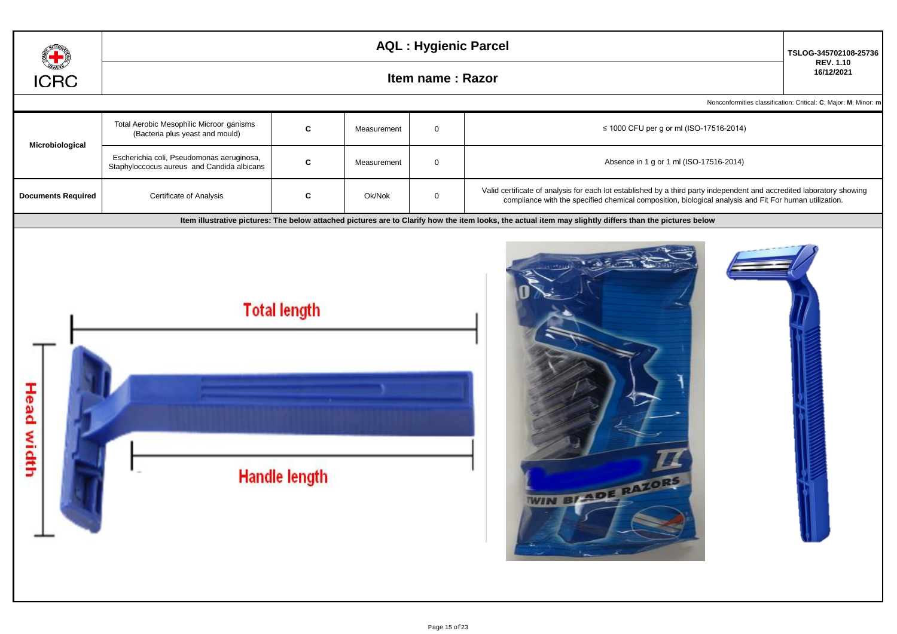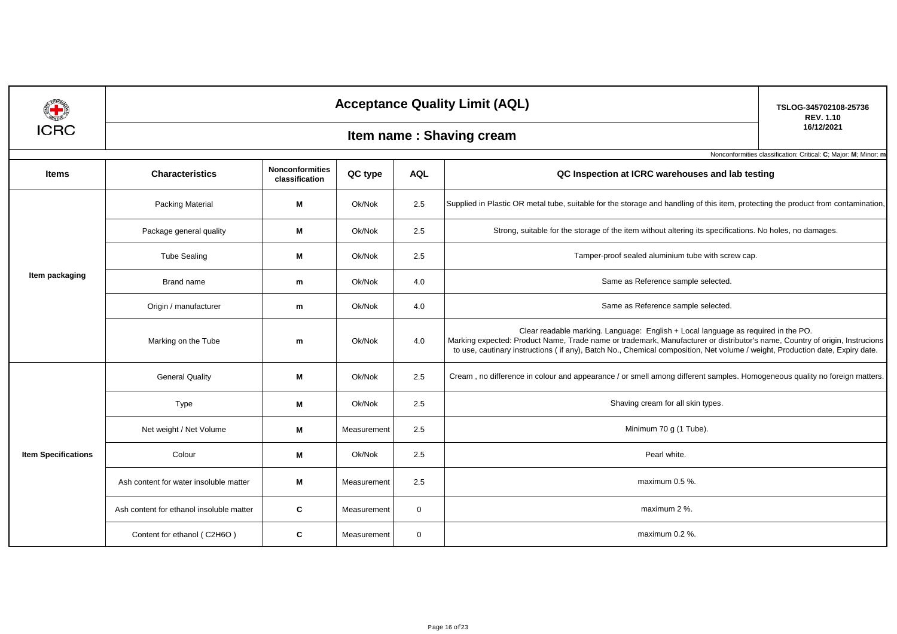|                            |                                                                 | TSLOG-345702108-25736                    |             |              |                                                                                                                                                                                                                                                                                                                                                  |                                |  |  |  |  |  |
|----------------------------|-----------------------------------------------------------------|------------------------------------------|-------------|--------------|--------------------------------------------------------------------------------------------------------------------------------------------------------------------------------------------------------------------------------------------------------------------------------------------------------------------------------------------------|--------------------------------|--|--|--|--|--|
| <b>ICRC</b>                |                                                                 |                                          |             |              | Item name: Shaving cream                                                                                                                                                                                                                                                                                                                         | <b>REV. 1.10</b><br>16/12/2021 |  |  |  |  |  |
|                            | Nonconformities classification: Critical: C; Major: M; Minor: m |                                          |             |              |                                                                                                                                                                                                                                                                                                                                                  |                                |  |  |  |  |  |
| <b>Items</b>               | <b>Characteristics</b>                                          | <b>Nonconformities</b><br>classification | QC type     | <b>AQL</b>   | QC Inspection at ICRC warehouses and lab testing                                                                                                                                                                                                                                                                                                 |                                |  |  |  |  |  |
|                            | <b>Packing Material</b>                                         | М                                        | Ok/Nok      | 2.5          | Supplied in Plastic OR metal tube, suitable for the storage and handling of this item, protecting the product from contamination,                                                                                                                                                                                                                |                                |  |  |  |  |  |
|                            | Package general quality                                         | М                                        | Ok/Nok      | 2.5          | Strong, suitable for the storage of the item without altering its specifications. No holes, no damages.                                                                                                                                                                                                                                          |                                |  |  |  |  |  |
|                            | <b>Tube Sealing</b>                                             | M                                        | Ok/Nok      | 2.5          | Tamper-proof sealed aluminium tube with screw cap.                                                                                                                                                                                                                                                                                               |                                |  |  |  |  |  |
| Item packaging             | Brand name                                                      | m                                        | Ok/Nok      | 4.0          | Same as Reference sample selected.                                                                                                                                                                                                                                                                                                               |                                |  |  |  |  |  |
|                            | Origin / manufacturer                                           | m                                        | Ok/Nok      | 4.0          | Same as Reference sample selected.                                                                                                                                                                                                                                                                                                               |                                |  |  |  |  |  |
|                            | Marking on the Tube                                             | m                                        | Ok/Nok      | 4.0          | Clear readable marking. Language: English + Local language as required in the PO.<br>Marking expected: Product Name, Trade name or trademark, Manufacturer or distributor's name, Country of origin, Instrucions<br>to use, cautinary instructions (if any), Batch No., Chemical composition, Net volume / weight, Production date, Expiry date. |                                |  |  |  |  |  |
|                            | <b>General Quality</b><br>M                                     |                                          | Ok/Nok      | 2.5          | Cream, no difference in colour and appearance / or smell among different samples. Homogeneous quality no foreign matters.                                                                                                                                                                                                                        |                                |  |  |  |  |  |
|                            | Type                                                            | M                                        | Ok/Nok      | 2.5          | Shaving cream for all skin types.                                                                                                                                                                                                                                                                                                                |                                |  |  |  |  |  |
|                            | Net weight / Net Volume                                         | М                                        | Measurement | 2.5          | Minimum 70 g (1 Tube).                                                                                                                                                                                                                                                                                                                           |                                |  |  |  |  |  |
| <b>Item Specifications</b> | Colour                                                          | M                                        | Ok/Nok      | 2.5          | Pearl white.                                                                                                                                                                                                                                                                                                                                     |                                |  |  |  |  |  |
|                            | Ash content for water insoluble matter                          | M                                        | Measurement | 2.5          | maximum 0.5 %.                                                                                                                                                                                                                                                                                                                                   |                                |  |  |  |  |  |
|                            | Ash content for ethanol insoluble matter                        | C                                        | Measurement | $\mathbf 0$  | maximum 2 %.                                                                                                                                                                                                                                                                                                                                     |                                |  |  |  |  |  |
|                            | Content for ethanol (C2H6O)                                     | C                                        | Measurement | $\mathbf{0}$ | maximum 0.2 %.                                                                                                                                                                                                                                                                                                                                   |                                |  |  |  |  |  |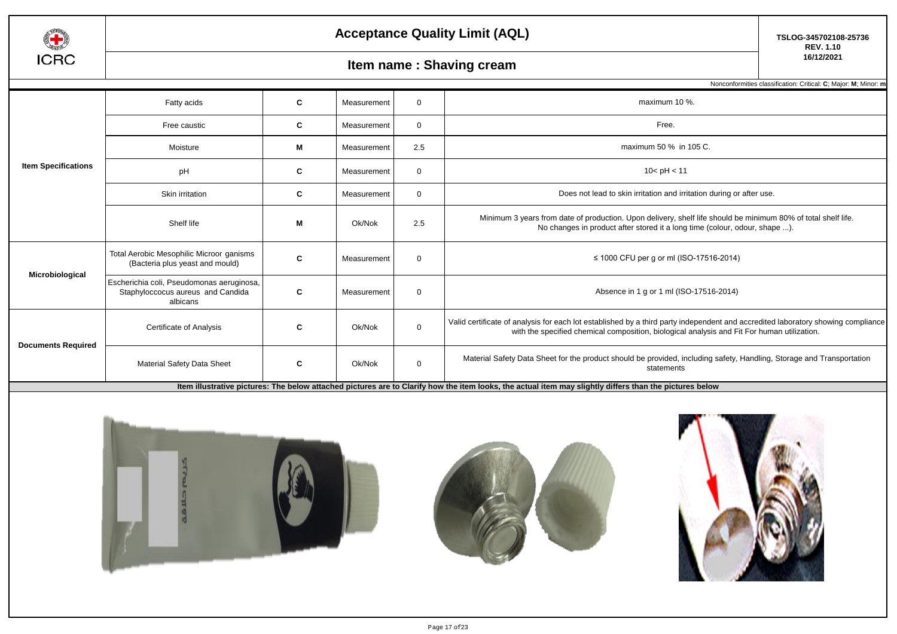

## **Item name : Shaving cream**

Nonconformities classification: Critical: **C**; Major: **M**; Minor: **m**

|                                                                            | Fatty acids                                                                                | C | Measurement | $\Omega$                                                                                                                                                                                                                                                                                                                                                                                                                                                                                                                                                                                                                                     | maximum 10 %.                                                                                                                                                                               |
|----------------------------------------------------------------------------|--------------------------------------------------------------------------------------------|---|-------------|----------------------------------------------------------------------------------------------------------------------------------------------------------------------------------------------------------------------------------------------------------------------------------------------------------------------------------------------------------------------------------------------------------------------------------------------------------------------------------------------------------------------------------------------------------------------------------------------------------------------------------------------|---------------------------------------------------------------------------------------------------------------------------------------------------------------------------------------------|
|                                                                            | Free caustic                                                                               | C | Measurement | $\Omega$                                                                                                                                                                                                                                                                                                                                                                                                                                                                                                                                                                                                                                     | Free.                                                                                                                                                                                       |
| <b>Item Specifications</b><br>Microbiological<br><b>Documents Required</b> | Moisture                                                                                   | M | Measurement | 2.5                                                                                                                                                                                                                                                                                                                                                                                                                                                                                                                                                                                                                                          | maximum 50 % in 105 C.                                                                                                                                                                      |
|                                                                            | pH                                                                                         | C | Measurement | $\Omega$                                                                                                                                                                                                                                                                                                                                                                                                                                                                                                                                                                                                                                     | 10 < pH < 11                                                                                                                                                                                |
|                                                                            | Skin irritation                                                                            | C | Measurement | $\Omega$                                                                                                                                                                                                                                                                                                                                                                                                                                                                                                                                                                                                                                     | Does not lead to skin irritation and irritation during or after use.                                                                                                                        |
|                                                                            | Shelf life                                                                                 | M | Ok/Nok      | 2.5                                                                                                                                                                                                                                                                                                                                                                                                                                                                                                                                                                                                                                          | Minimum 3 years from date of production. Upon delivery, shelf life should be minimum 80% of total shelf life.<br>No changes in product after stored it a long time (colour, odour, shape ). |
|                                                                            | Total Aerobic Mesophilic Microor ganisms<br>(Bacteria plus yeast and mould)                | C | Measurement | $\Omega$                                                                                                                                                                                                                                                                                                                                                                                                                                                                                                                                                                                                                                     | ≤ 1000 CFU per g or ml (ISO-17516-2014)                                                                                                                                                     |
|                                                                            | Escherichia coli, Pseudomonas aeruginosa,<br>Staphyloccocus aureus and Candida<br>albicans | C | Measurement | Absence in 1 g or 1 ml (ISO-17516-2014)<br>$\Omega$<br>Valid certificate of analysis for each lot established by a third party independent and accredited laboratory showing compliance<br>$\mathbf{0}$<br>Ok/Nok<br>with the specified chemical composition, biological analysis and Fit For human utilization.<br>Material Safety Data Sheet for the product should be provided, including safety, Handling, Storage and Transportation<br>Ok/Nok<br>$\mathbf 0$<br>statements<br>liam illustrative pictures. The hole wetherhod pictures are to Clerify hour the item leaks the estual item may elightly differe them the pictures hole.y |                                                                                                                                                                                             |
|                                                                            | Certificate of Analysis                                                                    | C |             |                                                                                                                                                                                                                                                                                                                                                                                                                                                                                                                                                                                                                                              |                                                                                                                                                                                             |
|                                                                            | <b>Material Safety Data Sheet</b>                                                          | C |             |                                                                                                                                                                                                                                                                                                                                                                                                                                                                                                                                                                                                                                              |                                                                                                                                                                                             |

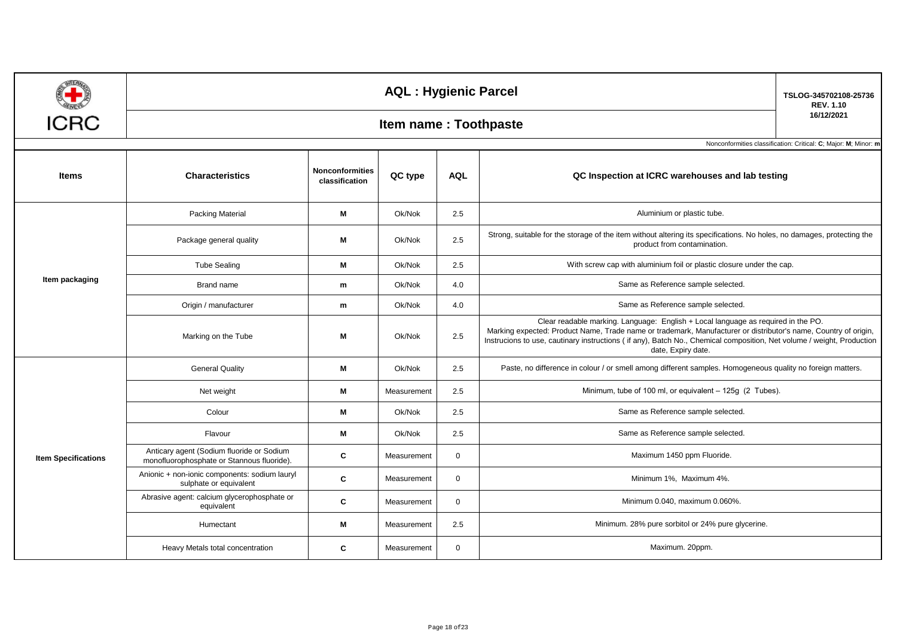| <b>ICRC</b>                |                                                                                         | TSLOG-345702108-25736<br><b>REV. 1.10</b><br>16/12/2021<br>Nonconformities classification: Critical: C; Major: M; Minor: m |             |             |                                                                                                                                                                                                                                                                                                                                                     |  |
|----------------------------|-----------------------------------------------------------------------------------------|----------------------------------------------------------------------------------------------------------------------------|-------------|-------------|-----------------------------------------------------------------------------------------------------------------------------------------------------------------------------------------------------------------------------------------------------------------------------------------------------------------------------------------------------|--|
| <b>Items</b>               | <b>Characteristics</b>                                                                  | <b>Nonconformities</b><br>classification                                                                                   | QC type     | <b>AQL</b>  | QC Inspection at ICRC warehouses and lab testing                                                                                                                                                                                                                                                                                                    |  |
|                            | Packing Material                                                                        | M                                                                                                                          | Ok/Nok      | 2.5         | Aluminium or plastic tube.                                                                                                                                                                                                                                                                                                                          |  |
|                            | Package general quality                                                                 | Μ                                                                                                                          | Ok/Nok      | 2.5         | Strong, suitable for the storage of the item without altering its specifications. No holes, no damages, protecting the<br>product from contamination.                                                                                                                                                                                               |  |
|                            | <b>Tube Sealing</b>                                                                     | М                                                                                                                          | Ok/Nok      | 2.5         | With screw cap with aluminium foil or plastic closure under the cap.                                                                                                                                                                                                                                                                                |  |
| Item packaging             | Brand name                                                                              | m                                                                                                                          | Ok/Nok      | 4.0         | Same as Reference sample selected.                                                                                                                                                                                                                                                                                                                  |  |
|                            | Origin / manufacturer                                                                   | m                                                                                                                          | Ok/Nok      | 4.0         | Same as Reference sample selected.                                                                                                                                                                                                                                                                                                                  |  |
|                            | Marking on the Tube                                                                     | M                                                                                                                          | Ok/Nok      | 2.5         | Clear readable marking. Language: English + Local language as required in the PO.<br>Marking expected: Product Name, Trade name or trademark, Manufacturer or distributor's name, Country of origin,<br>Instrucions to use, cautinary instructions (if any), Batch No., Chemical composition, Net volume / weight, Production<br>date, Expiry date. |  |
|                            | <b>General Quality</b>                                                                  | M                                                                                                                          | Ok/Nok      | 2.5         | Paste, no difference in colour / or smell among different samples. Homogeneous quality no foreign matters.                                                                                                                                                                                                                                          |  |
|                            | Net weight                                                                              | М                                                                                                                          | Measurement | 2.5         | Minimum, tube of 100 ml, or equivalent - 125g (2 Tubes).                                                                                                                                                                                                                                                                                            |  |
|                            | Colour                                                                                  | M                                                                                                                          | Ok/Nok      | 2.5         | Same as Reference sample selected.                                                                                                                                                                                                                                                                                                                  |  |
|                            | Flavour                                                                                 | Μ                                                                                                                          | Ok/Nok      | 2.5         | Same as Reference sample selected.                                                                                                                                                                                                                                                                                                                  |  |
| <b>Item Specifications</b> | Anticary agent (Sodium fluoride or Sodium<br>monofluorophosphate or Stannous fluoride). | C                                                                                                                          | Measurement | $\mathbf 0$ | Maximum 1450 ppm Fluoride.                                                                                                                                                                                                                                                                                                                          |  |
|                            | Anionic + non-ionic components: sodium lauryl<br>sulphate or equivalent                 | C                                                                                                                          | Measurement | $\mathbf 0$ | Minimum 1%, Maximum 4%.                                                                                                                                                                                                                                                                                                                             |  |
|                            | Abrasive agent: calcium glycerophosphate or<br>equivalent                               | C                                                                                                                          | Measurement | $\mathbf 0$ | Minimum 0.040, maximum 0.060%.                                                                                                                                                                                                                                                                                                                      |  |
|                            | Humectant                                                                               | Μ                                                                                                                          | Measurement | 2.5         | Minimum. 28% pure sorbitol or 24% pure glycerine.                                                                                                                                                                                                                                                                                                   |  |
|                            | Heavy Metals total concentration                                                        | C                                                                                                                          | Measurement | $\mathbf 0$ | Maximum. 20ppm.                                                                                                                                                                                                                                                                                                                                     |  |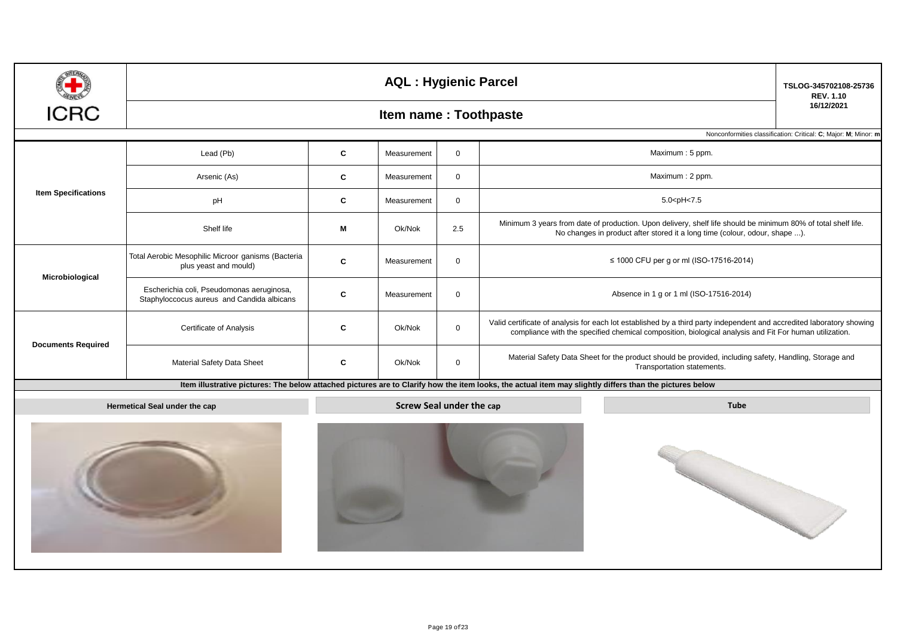|                            |                                                                                                         | <b>AQL: Hygienic Parcel</b> | TSLOG-345702108-25736<br><b>REV. 1.10</b>      |              |                                                                                                                                                                                                                                 |                                                                 |  |  |  |  |  |  |
|----------------------------|---------------------------------------------------------------------------------------------------------|-----------------------------|------------------------------------------------|--------------|---------------------------------------------------------------------------------------------------------------------------------------------------------------------------------------------------------------------------------|-----------------------------------------------------------------|--|--|--|--|--|--|
| ICRC                       |                                                                                                         | Item name: Toothpaste       |                                                |              |                                                                                                                                                                                                                                 |                                                                 |  |  |  |  |  |  |
|                            |                                                                                                         |                             |                                                |              |                                                                                                                                                                                                                                 | Nonconformities classification: Critical: C; Major: M; Minor: m |  |  |  |  |  |  |
|                            | Lead (Pb)                                                                                               | $\mathbf c$                 | Measurement                                    | $\mathbf 0$  | Maximum: 5 ppm.                                                                                                                                                                                                                 |                                                                 |  |  |  |  |  |  |
|                            | Arsenic (As)                                                                                            | C                           | Measurement                                    | $\mathbf 0$  | Maximum: 2 ppm.                                                                                                                                                                                                                 |                                                                 |  |  |  |  |  |  |
| <b>Item Specifications</b> | pH                                                                                                      | $\mathbf{c}$                | Measurement                                    | $\mathbf 0$  | 5.0 <ph<7.5< td=""><td></td></ph<7.5<>                                                                                                                                                                                          |                                                                 |  |  |  |  |  |  |
|                            | Shelf life                                                                                              | М                           | Ok/Nok                                         | 2.5          | Minimum 3 years from date of production. Upon delivery, shelf life should be minimum 80% of total shelf life.<br>No changes in product after stored it a long time (colour, odour, shape ).                                     |                                                                 |  |  |  |  |  |  |
| Microbiological            | Total Aerobic Mesophilic Microor ganisms (Bacteria<br>plus yeast and mould)                             | C                           | Measurement                                    | $\mathbf 0$  | ≤ 1000 CFU per g or ml (ISO-17516-2014)                                                                                                                                                                                         |                                                                 |  |  |  |  |  |  |
|                            | Escherichia coli, Pseudomonas aeruginosa,<br>$\mathbf{C}$<br>Staphyloccocus aureus and Candida albicans |                             | Measurement                                    | $\mathbf 0$  | Absence in 1 g or 1 ml (ISO-17516-2014)                                                                                                                                                                                         |                                                                 |  |  |  |  |  |  |
| <b>Documents Required</b>  | Certificate of Analysis                                                                                 | C                           | Ok/Nok                                         | $\mathbf 0$  | Valid certificate of analysis for each lot established by a third party independent and accredited laboratory showing<br>compliance with the specified chemical composition, biological analysis and Fit For human utilization. |                                                                 |  |  |  |  |  |  |
|                            | Material Safety Data Sheet                                                                              | C                           | Ok/Nok                                         | $\mathbf{0}$ | Material Safety Data Sheet for the product should be provided, including safety, Handling, Storage and<br>Transportation statements.                                                                                            |                                                                 |  |  |  |  |  |  |
|                            |                                                                                                         |                             |                                                |              | Item illustrative pictures: The below attached pictures are to Clarify how the item looks, the actual item may slightly differs than the pictures below                                                                         |                                                                 |  |  |  |  |  |  |
|                            | Hermetical Seal under the cap                                                                           |                             | <b>Screw Seal under the cap</b><br><b>Tube</b> |              |                                                                                                                                                                                                                                 |                                                                 |  |  |  |  |  |  |
|                            |                                                                                                         |                             |                                                |              |                                                                                                                                                                                                                                 |                                                                 |  |  |  |  |  |  |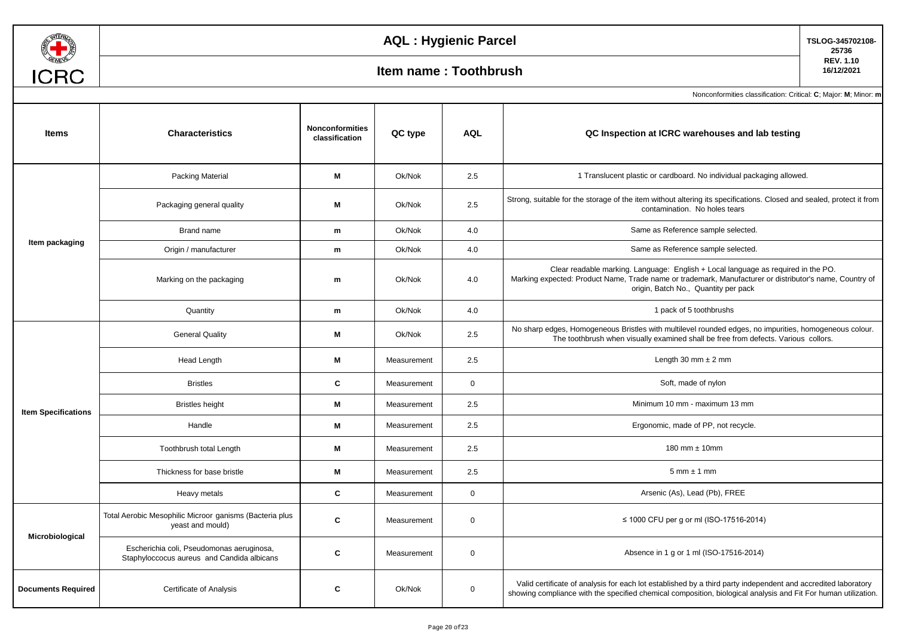

## **AQL : Hygienic Parcel TSLOG-345702108-**

### **16/12/2021 Item name : Toothbrush**

**25736 REV. 1.10**

| <b>Items</b>               | <b>Characteristics</b>                                                                  | <b>Nonconformities</b><br>classification | QC type                                                                                                                                                                                                                                                                                                                                                                          | <b>AQL</b>   | QC Inspection at ICRC warehouses and lab testing                                                                                                                                                                                     |
|----------------------------|-----------------------------------------------------------------------------------------|------------------------------------------|----------------------------------------------------------------------------------------------------------------------------------------------------------------------------------------------------------------------------------------------------------------------------------------------------------------------------------------------------------------------------------|--------------|--------------------------------------------------------------------------------------------------------------------------------------------------------------------------------------------------------------------------------------|
|                            | Packing Material                                                                        | M                                        | Ok/Nok                                                                                                                                                                                                                                                                                                                                                                           | 2.5          | 1 Translucent plastic or cardboard. No individual packaging allowed.                                                                                                                                                                 |
|                            | Packaging general quality                                                               | м                                        | Ok/Nok                                                                                                                                                                                                                                                                                                                                                                           | 2.5          | Strong, suitable for the storage of the item without altering its specifications. Closed and sealed, protect it from<br>contamination. No holes tears                                                                                |
|                            | Brand name                                                                              | m                                        | Ok/Nok                                                                                                                                                                                                                                                                                                                                                                           | 4.0          | Same as Reference sample selected.                                                                                                                                                                                                   |
| Item packaging             | Origin / manufacturer                                                                   | m                                        | Ok/Nok                                                                                                                                                                                                                                                                                                                                                                           | 4.0          | Same as Reference sample selected.                                                                                                                                                                                                   |
|                            | Marking on the packaging                                                                | m                                        | Ok/Nok                                                                                                                                                                                                                                                                                                                                                                           | 4.0          | Clear readable marking. Language: English + Local language as required in the PO.<br>Marking expected: Product Name, Trade name or trademark, Manufacturer or distributor's name, Country of<br>origin, Batch No., Quantity per pack |
|                            | Quantity                                                                                | m                                        | Ok/Nok                                                                                                                                                                                                                                                                                                                                                                           | 4.0          | 1 pack of 5 toothbrushs                                                                                                                                                                                                              |
|                            | <b>General Quality</b>                                                                  | M                                        | Ok/Nok                                                                                                                                                                                                                                                                                                                                                                           | 2.5          | No sharp edges, Homogeneous Bristles with multilevel rounded edges, no impurities, homogeneous colour.<br>The toothbrush when visually examined shall be free from defects. Various collors.                                         |
| <b>Item Specifications</b> | Head Length                                                                             | M                                        | Measurement                                                                                                                                                                                                                                                                                                                                                                      | 2.5          | Length 30 mm $\pm$ 2 mm                                                                                                                                                                                                              |
|                            | <b>Bristles</b>                                                                         | $\mathbf{C}$                             | Measurement                                                                                                                                                                                                                                                                                                                                                                      | $\mathbf{0}$ | Soft, made of nylon                                                                                                                                                                                                                  |
|                            | <b>Bristles height</b>                                                                  | М                                        | Measurement                                                                                                                                                                                                                                                                                                                                                                      | 2.5          | Minimum 10 mm - maximum 13 mm                                                                                                                                                                                                        |
|                            | Handle                                                                                  | M                                        | 2.5<br>Ergonomic, made of PP, not recycle.<br>Measurement<br>180 mm $\pm$ 10mm<br>2.5<br>Measurement<br>2.5<br>$5$ mm $\pm$ 1 mm<br>Measurement<br>Arsenic (As), Lead (Pb), FREE<br>Measurement<br>$\mathbf{0}$<br>≤ 1000 CFU per g or ml (ISO-17516-2014)<br>Measurement<br>0<br>Absence in 1 g or 1 ml (ISO-17516-2014)<br>$\mathbf 0$<br>Measurement<br>$\mathbf 0$<br>Ok/Nok |              |                                                                                                                                                                                                                                      |
|                            | Toothbrush total Length                                                                 | M                                        |                                                                                                                                                                                                                                                                                                                                                                                  |              |                                                                                                                                                                                                                                      |
|                            | Thickness for base bristle                                                              | М                                        |                                                                                                                                                                                                                                                                                                                                                                                  |              |                                                                                                                                                                                                                                      |
|                            | Heavy metals                                                                            | C                                        |                                                                                                                                                                                                                                                                                                                                                                                  |              |                                                                                                                                                                                                                                      |
| Microbiological            | Total Aerobic Mesophilic Microor ganisms (Bacteria plus<br>yeast and mould)             | C                                        |                                                                                                                                                                                                                                                                                                                                                                                  |              |                                                                                                                                                                                                                                      |
|                            | Escherichia coli, Pseudomonas aeruginosa,<br>Staphyloccocus aureus and Candida albicans | C                                        |                                                                                                                                                                                                                                                                                                                                                                                  |              |                                                                                                                                                                                                                                      |
| <b>Documents Required</b>  | Certificate of Analysis                                                                 | C                                        |                                                                                                                                                                                                                                                                                                                                                                                  |              | Valid certificate of analysis for each lot established by a third party independent and accredited laboratory<br>showing compliance with the specified chemical composition, biological analysis and Fit For human utilization.      |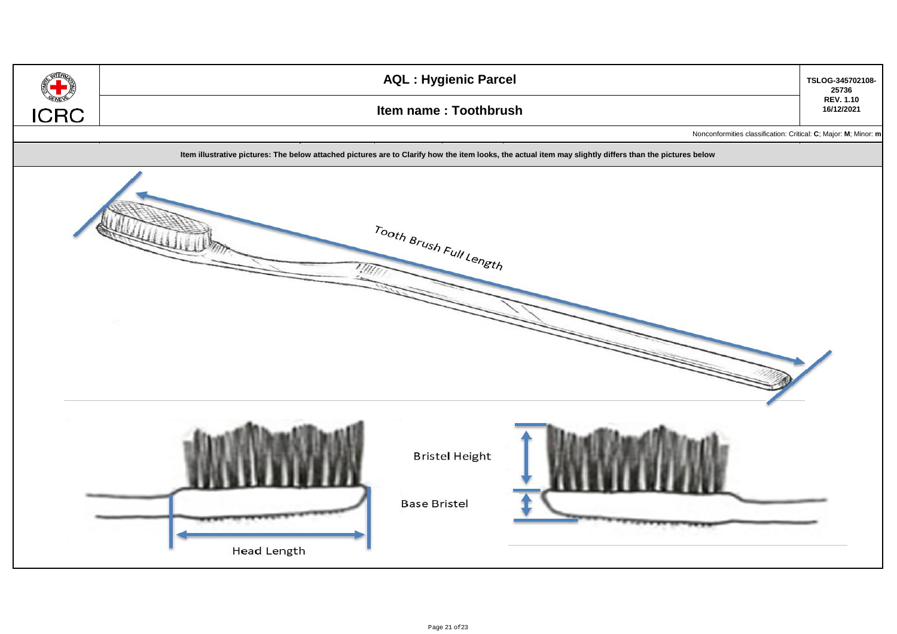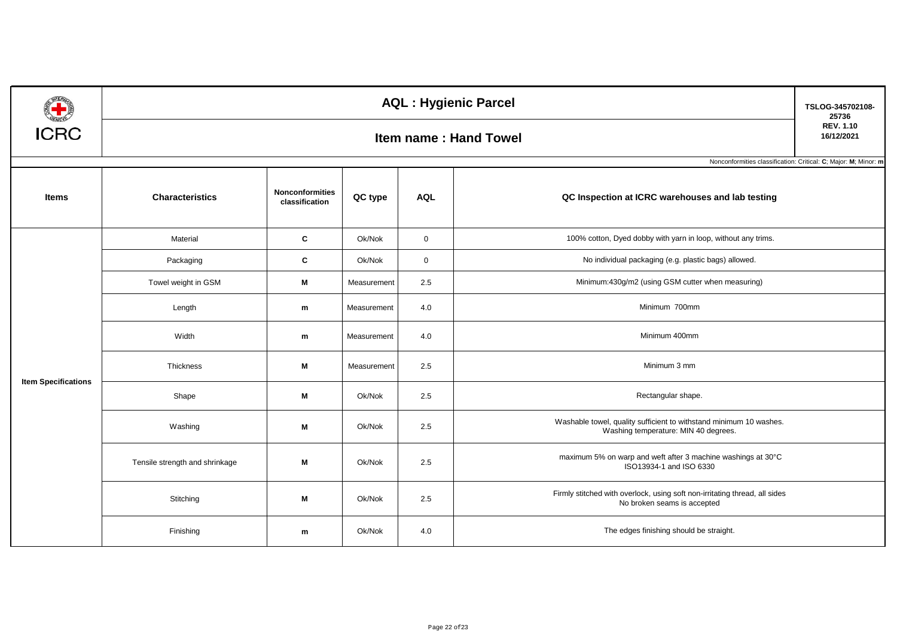| <b>CONTRACTOR</b>          | <b>AQL: Hygienic Parcel</b>    |                                          |             |             |                                                                                                            |                                                                 |  |  |  |  |
|----------------------------|--------------------------------|------------------------------------------|-------------|-------------|------------------------------------------------------------------------------------------------------------|-----------------------------------------------------------------|--|--|--|--|
| <b>ICRC</b>                | <b>Item name: Hand Towel</b>   |                                          |             |             |                                                                                                            |                                                                 |  |  |  |  |
|                            |                                |                                          |             |             |                                                                                                            | Nonconformities classification: Critical: C; Major: M; Minor: m |  |  |  |  |
| Items                      | <b>Characteristics</b>         | <b>Nonconformities</b><br>classification | QC type     | <b>AQL</b>  | QC Inspection at ICRC warehouses and lab testing                                                           |                                                                 |  |  |  |  |
|                            | Material                       | C                                        | Ok/Nok      | $\mathbf 0$ | 100% cotton, Dyed dobby with yarn in loop, without any trims.                                              |                                                                 |  |  |  |  |
|                            | Packaging                      | C                                        | Ok/Nok      | $\mathbf 0$ | No individual packaging (e.g. plastic bags) allowed.                                                       |                                                                 |  |  |  |  |
|                            | Towel weight in GSM            | M                                        | Measurement | 2.5         | Minimum:430g/m2 (using GSM cutter when measuring)                                                          |                                                                 |  |  |  |  |
|                            | Length                         | m                                        | Measurement | 4.0         | Minimum 700mm                                                                                              |                                                                 |  |  |  |  |
|                            | Width                          | m                                        | Measurement | 4.0         | Minimum 400mm                                                                                              |                                                                 |  |  |  |  |
| <b>Item Specifications</b> | Thickness                      | M                                        | Measurement | 2.5         | Minimum 3 mm                                                                                               |                                                                 |  |  |  |  |
|                            | Shape                          | M                                        | Ok/Nok      | 2.5         | Rectangular shape.                                                                                         |                                                                 |  |  |  |  |
|                            | Washing                        | M                                        |             | 2.5         | Washable towel, quality sufficient to withstand minimum 10 washes.<br>Washing temperature: MIN 40 degrees. |                                                                 |  |  |  |  |
|                            | Tensile strength and shrinkage | M                                        | Ok/Nok      | 2.5         | maximum 5% on warp and weft after 3 machine washings at 30°C<br>ISO13934-1 and ISO 6330                    |                                                                 |  |  |  |  |
|                            | Stitching                      | M                                        | Ok/Nok      | 2.5         | Firmly stitched with overlock, using soft non-irritating thread, all sides<br>No broken seams is accepted  |                                                                 |  |  |  |  |
|                            | Finishing                      | m                                        | Ok/Nok      | 4.0         | The edges finishing should be straight.                                                                    |                                                                 |  |  |  |  |